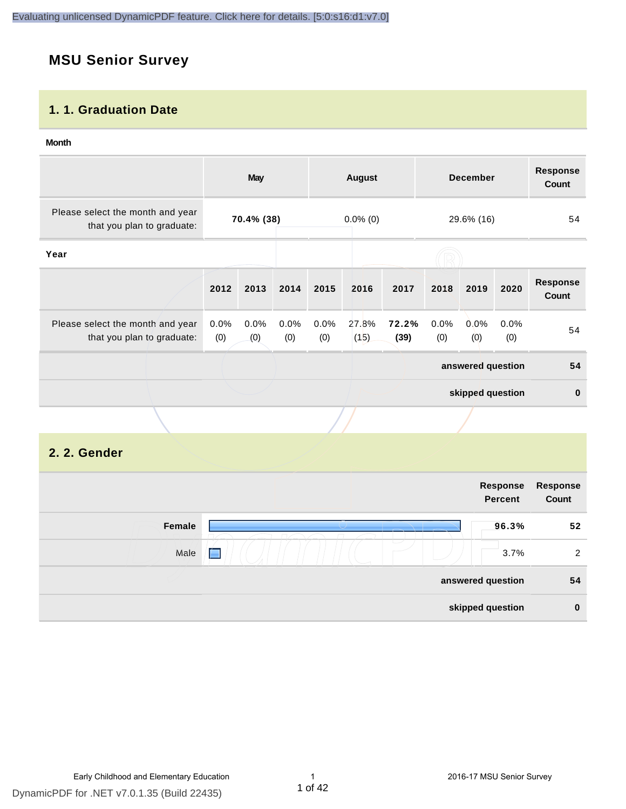#### **MSU Senior Survey**

#### **1. 1. Graduation Date**

#### **Month**

|                                                                |                | <b>May</b>  |             |             | <b>August</b> |               |             | <b>December</b>            |             | <b>Response</b><br><b>Count</b> |
|----------------------------------------------------------------|----------------|-------------|-------------|-------------|---------------|---------------|-------------|----------------------------|-------------|---------------------------------|
| Please select the month and year<br>that you plan to graduate: | 70.4% (38)     |             | $0.0\%$ (0) |             |               | 29.6% (16)    |             | 54                         |             |                                 |
| Year                                                           |                |             |             |             |               |               |             |                            |             |                                 |
|                                                                | 2012           | 2013        | 2014        | 2015        | 2016          | 2017          | 2018        | 2019                       | 2020        | <b>Response</b><br><b>Count</b> |
| Please select the month and year<br>that you plan to graduate: | $0.0\%$<br>(0) | 0.0%<br>(0) | 0.0%<br>(0) | 0.0%<br>(0) | 27.8%<br>(15) | 72.2%<br>(39) | 0.0%<br>(0) | 0.0%<br>$\left( 0 \right)$ | 0.0%<br>(0) | 54                              |
|                                                                |                |             |             |             |               |               |             | answered question          |             | 54                              |
|                                                                |                |             |             |             |               |               |             | skipped question           |             | $\mathbf 0$                     |
|                                                                |                |             |             |             |               |               |             |                            |             |                                 |

#### **2. 2. Gender**

|        |             | Response<br><b>Percent</b> | Response<br>Count |
|--------|-------------|----------------------------|-------------------|
| Female |             | 96.3%                      | 52                |
| Male   | $\sim$<br>É | 3.7%                       | 2                 |
|        |             | answered question          | 54                |
|        |             | skipped question           | $\bf{0}$          |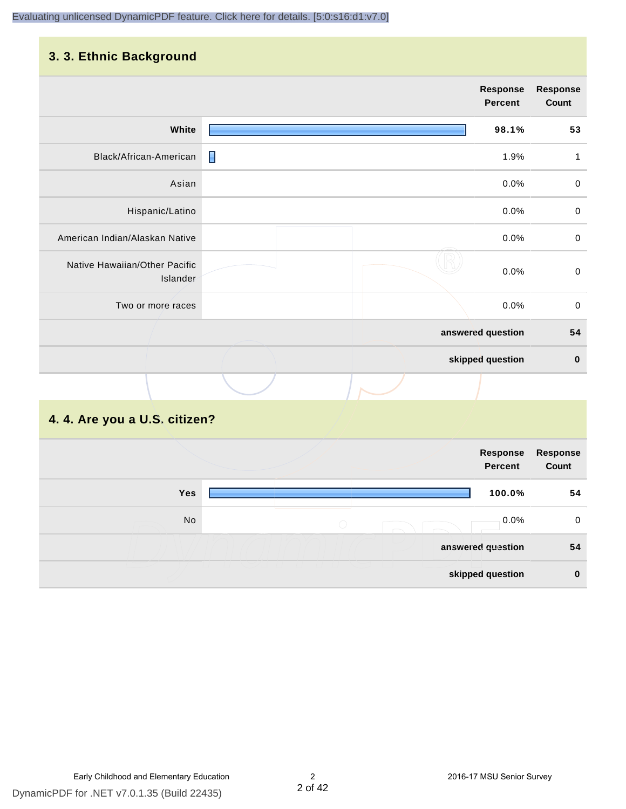#### **3. 3. Ethnic Background**

|                                           |   | <b>Response</b><br><b>Percent</b> |       | <b>Response</b><br>Count |
|-------------------------------------------|---|-----------------------------------|-------|--------------------------|
|                                           |   |                                   |       |                          |
| White                                     |   |                                   | 98.1% | 53                       |
| Black/African-American                    | П |                                   | 1.9%  | 1                        |
| Asian                                     |   |                                   | 0.0%  | $\pmb{0}$                |
| Hispanic/Latino                           |   |                                   | 0.0%  | $\mathbf 0$              |
| American Indian/Alaskan Native            |   |                                   | 0.0%  | $\mathbf 0$              |
| Native Hawaiian/Other Pacific<br>Islander |   |                                   | 0.0%  | $\mathbf 0$              |
| Two or more races                         |   |                                   | 0.0%  | $\mathbf 0$              |
|                                           |   | answered question                 |       | 54                       |
|                                           |   | skipped question                  |       | $\bf{0}$                 |
|                                           |   |                                   |       |                          |

#### **4. 4. Are you a U.S. citizen?**

|            | Response<br><b>Percent</b> | Response<br>Count |
|------------|----------------------------|-------------------|
| <b>Yes</b> | 100.0%                     | 54                |
| No         | 0.0%<br>$\bigcirc$         | $\mathbf 0$       |
|            | answered question          | 54                |
|            | skipped question           | $\mathbf 0$       |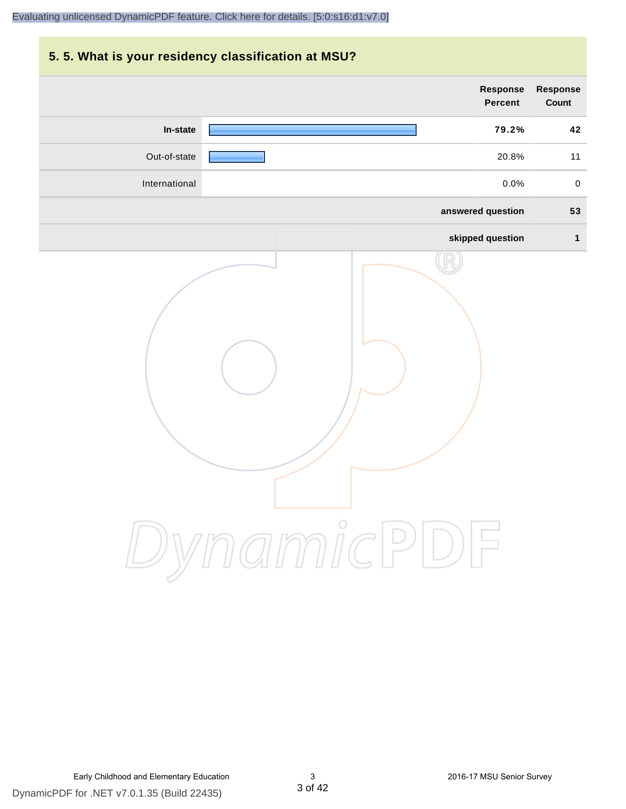# **5. 5. What is your residency classification at MSU? answered question 53 skipped question 1 Response Percent Response Count In-state 79.2% 42** Out-of-state 20.8% 11 International 0.0% 0

DynamicPDF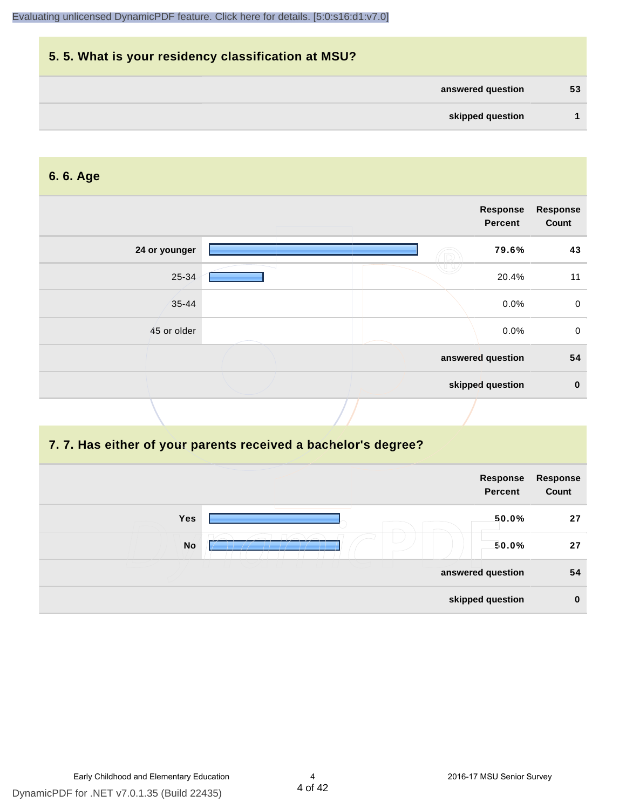| 5.5. What is your residency classification at MSU? |    |
|----------------------------------------------------|----|
| answered question                                  | 53 |
| skipped question                                   |    |

#### **6. 6. Age**

|               | Response<br><b>Percent</b> | <b>Response</b><br>Count |
|---------------|----------------------------|--------------------------|
| 24 or younger | 79.6%                      | 43                       |
| 25-34         | 20.4%                      | 11                       |
| $35 - 44$     | 0.0%                       | $\mathbf 0$              |
| 45 or older   | 0.0%                       | $\mathbf 0$              |
|               | answered question          | 54                       |
|               | skipped question           | $\bf{0}$                 |

#### **7. 7. Has either of your parents received a bachelor's degree?**

|     | Response<br><b>Percent</b> | Response<br>Count |
|-----|----------------------------|-------------------|
| Yes | 50.0%                      | 27                |
| No  | 50.0%                      | 27                |
|     | answered question          | 54                |
|     | skipped question           | $\bf{0}$          |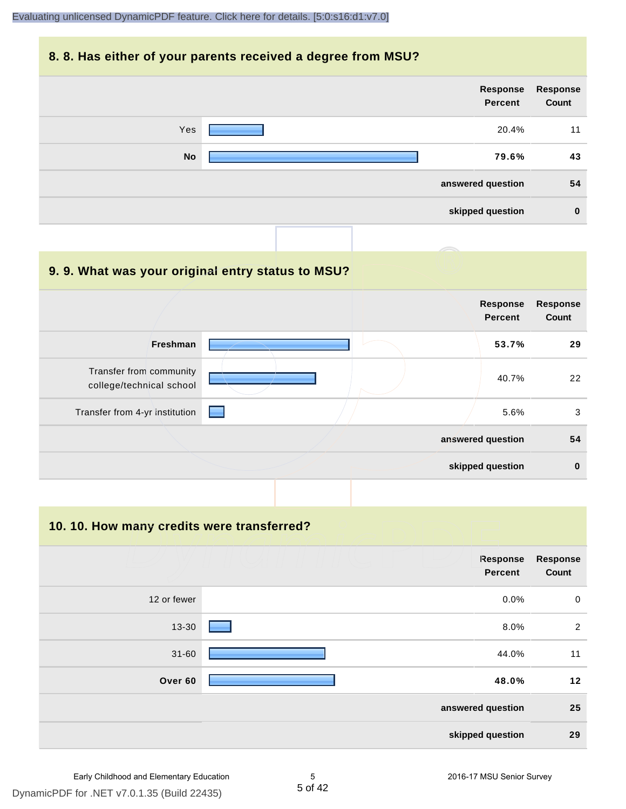#### **8. 8. Has either of your parents received a degree from MSU?**

|           | Response<br>Percent | Response<br>Count |
|-----------|---------------------|-------------------|
| Yes       | 20.4%               | 11                |
| <b>No</b> | 79.6%               | 43                |
|           | answered question   | 54                |
|           | skipped question    | $\bf{0}$          |

| 9.9. What was your original entry status to MSU?    |                                                                                                                                                                                                                                |                                   |                                 |
|-----------------------------------------------------|--------------------------------------------------------------------------------------------------------------------------------------------------------------------------------------------------------------------------------|-----------------------------------|---------------------------------|
|                                                     |                                                                                                                                                                                                                                | <b>Response</b><br><b>Percent</b> | <b>Response</b><br><b>Count</b> |
| <b>Freshman</b>                                     |                                                                                                                                                                                                                                | 53.7%                             | 29                              |
| Transfer from community<br>college/technical school |                                                                                                                                                                                                                                | 40.7%                             | 22                              |
| Transfer from 4-yr institution                      | e de la partie de la partie de la partie de la partie de la partie de la partie de la partie de la partie de la partie de la partie de la partie de la partie de la partie de la partie de la partie de la partie de la partie | 5.6%                              | 3                               |
|                                                     |                                                                                                                                                                                                                                | answered question                 | 54                              |
|                                                     |                                                                                                                                                                                                                                | skipped question                  | $\bf{0}$                        |

**10. 10. How many credits were transferred?**

|             | Response<br><b>Percent</b> | <b>Response</b><br>Count |
|-------------|----------------------------|--------------------------|
| 12 or fewer | 0.0%                       | $\mathbf 0$              |
| 13-30       | 8.0%                       | $\overline{2}$           |
| $31 - 60$   | 44.0%                      | 11                       |
| Over 60     | 48.0%                      | 12                       |
|             | answered question          | 25                       |
|             | skipped question           | 29                       |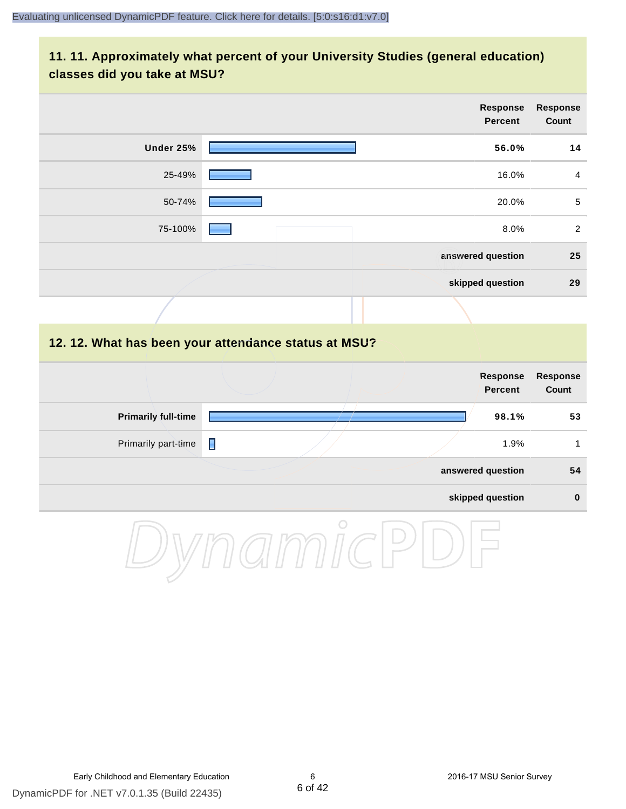#### **11. 11. Approximately what percent of your University Studies (general education) classes did you take at MSU?**

|                                                      |   |  | <b>Response</b><br><b>Percent</b> | <b>Response</b><br>Count |
|------------------------------------------------------|---|--|-----------------------------------|--------------------------|
| <b>Under 25%</b>                                     |   |  | 56.0%                             | 14                       |
| 25-49%                                               |   |  | 16.0%                             | $\overline{4}$           |
| 50-74%                                               |   |  | 20.0%                             | $\sqrt{5}$               |
| 75-100%                                              |   |  | 8.0%                              | $\overline{2}$           |
|                                                      |   |  | answered question                 | 25                       |
|                                                      |   |  | skipped question                  | 29                       |
|                                                      |   |  |                                   |                          |
| 12. 12. What has been your attendance status at MSU? |   |  |                                   |                          |
|                                                      |   |  | <b>Response</b><br><b>Percent</b> | Response<br>Count        |
| <b>Primarily full-time</b>                           |   |  | 98.1%                             | 53                       |
| Primarily part-time                                  | П |  | 1.9%                              | $\mathbf{1}$             |
|                                                      |   |  | answered question                 | 54                       |
|                                                      |   |  | skipped question                  | $\pmb{0}$                |
|                                                      |   |  |                                   |                          |

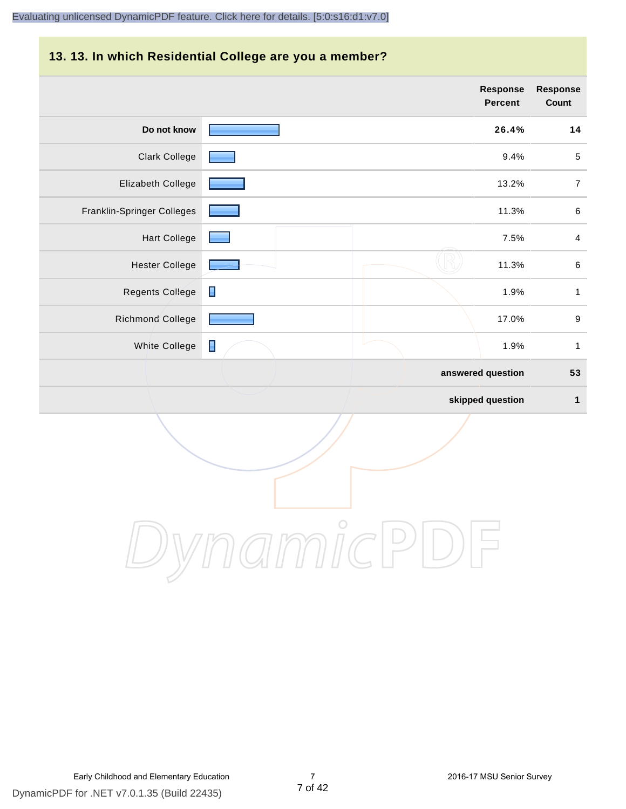#### **13. 13. In which Residential College are you a member?**

|                            |                | <b>Response</b><br>Percent | <b>Response</b><br>Count |
|----------------------------|----------------|----------------------------|--------------------------|
| Do not know                |                | 26.4%                      | 14                       |
| <b>Clark College</b>       |                | 9.4%                       | $\sqrt{5}$               |
| Elizabeth College          |                | 13.2%                      | $\overline{7}$           |
| Franklin-Springer Colleges |                | 11.3%                      | $\,6\,$                  |
| <b>Hart College</b>        |                | 7.5%                       | $\overline{4}$           |
| <b>Hester College</b>      |                | 11.3%                      | $\,6\,$                  |
| <b>Regents College</b>     | $\blacksquare$ | 1.9%                       | $\mathbf{1}$             |
| <b>Richmond College</b>    |                | 17.0%                      | $\boldsymbol{9}$         |
| <b>White College</b>       | $\blacksquare$ | 1.9%                       | $\mathbf{1}$             |
|                            |                | answered question          | 53                       |
|                            |                | skipped question           | $\mathbf{1}$             |

DynamicPDF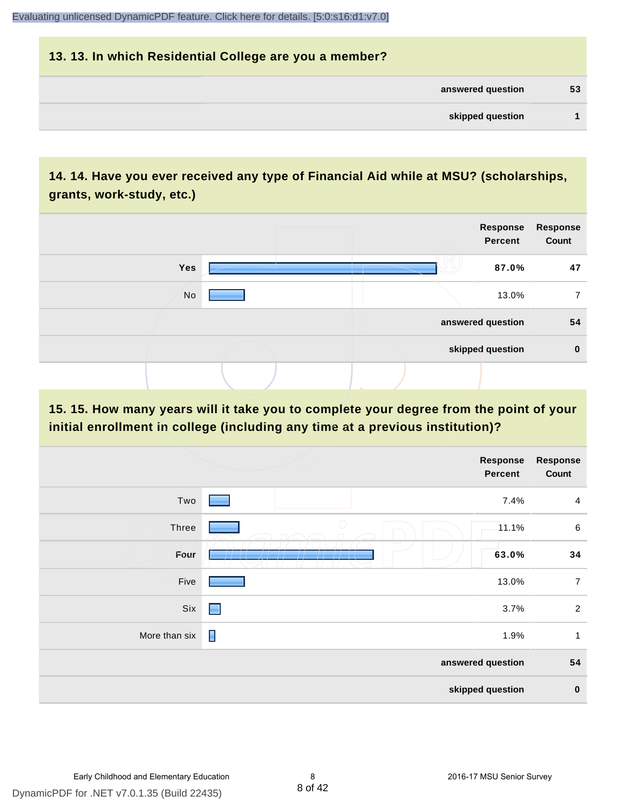| 13. 13. In which Residential College are you a member? |    |
|--------------------------------------------------------|----|
| answered question                                      | 53 |
| skipped question                                       |    |

#### **14. 14. Have you ever received any type of Financial Aid while at MSU? (scholarships, grants, work-study, etc.)**



**15. 15. How many years will it take you to complete your degree from the point of your initial enrollment in college (including any time at a previous institution)?**

|               | Response<br>Percent | <b>Response</b><br>Count |
|---------------|---------------------|--------------------------|
| Two           | 7.4%                | $\overline{4}$           |
| Three         | $\bigcirc$<br>11.1% | 6                        |
| Four          | 63.0%<br>, , , , ,  | 34                       |
| Five          | 13.0%               | $\overline{7}$           |
| Six           | 3.7%<br>■           | $\overline{2}$           |
| More than six | П<br>1.9%           | $\mathbf{1}$             |
|               | answered question   | 54                       |
|               | skipped question    | $\pmb{0}$                |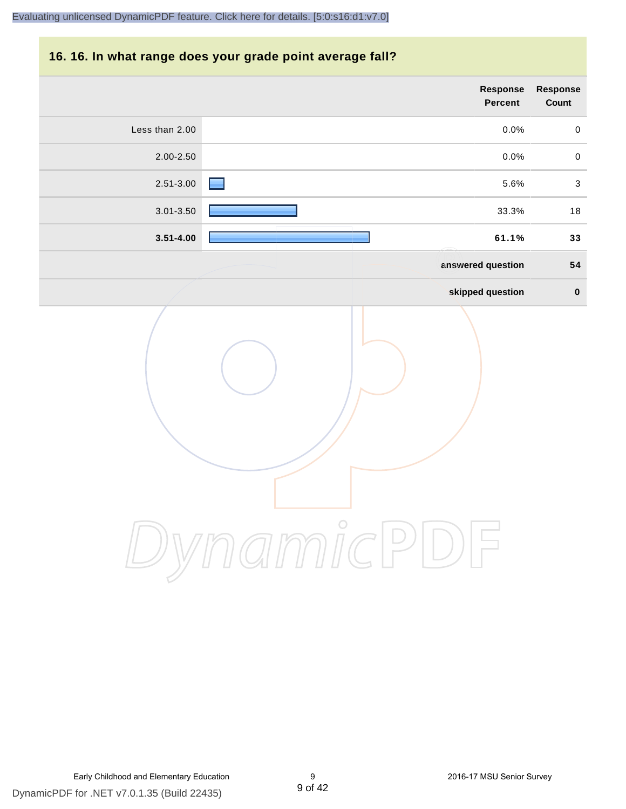#### **16. 16. In what range does your grade point average fall?**

| Response<br>Count         | Response<br>Percent |                |
|---------------------------|---------------------|----------------|
| $\mathbf 0$               | 0.0%                | Less than 2.00 |
| $\mathbf 0$               | 0.0%                | 2.00-2.50      |
| $\ensuremath{\mathsf{3}}$ | 5.6%                | 2.51-3.00      |
| $18$                      | 33.3%               | 3.01-3.50      |
| 33                        | 61.1%               | $3.51 - 4.00$  |
| 54                        | answered question   |                |
| $\pmb{0}$                 | skipped question    |                |
|                           | $\bigcirc$          |                |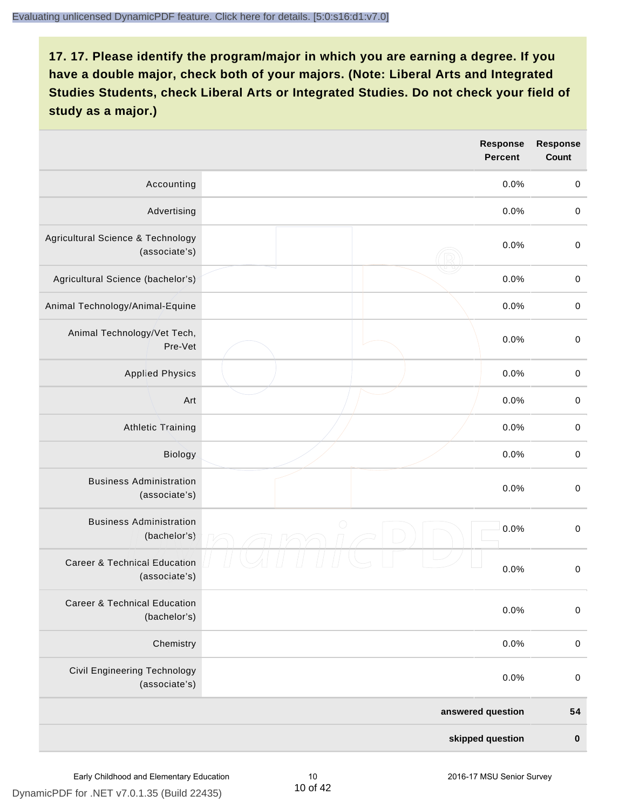|                                                          | Response<br><b>Percent</b> | <b>Response</b><br>Count |
|----------------------------------------------------------|----------------------------|--------------------------|
| Accounting                                               | 0.0%                       | $\mathbf 0$              |
| Advertising                                              | 0.0%                       | $\mbox{O}$               |
| Agricultural Science & Technology<br>(associate's)       | 0.0%                       | $\mbox{O}$               |
| Agricultural Science (bachelor's)                        | 0.0%                       | $\mathbf 0$              |
| Animal Technology/Animal-Equine                          | 0.0%                       | $\mathbf 0$              |
| Animal Technology/Vet Tech,<br>Pre-Vet                   | 0.0%                       | $\mathbf 0$              |
| <b>Applied Physics</b>                                   | 0.0%                       | $\pmb{0}$                |
| Art                                                      | 0.0%                       | $\mathbf 0$              |
| <b>Athletic Training</b>                                 | 0.0%                       | $\mathbf 0$              |
| Biology                                                  | 0.0%                       | $\mbox{O}$               |
| <b>Business Administration</b><br>(associate's)          | 0.0%                       | $\,0\,$                  |
| <b>Business Administration</b><br>(bachelor's)           | 0<br>0.0%                  | $\mbox{O}$               |
| <b>Career &amp; Technical Education</b><br>(associate's) | 0.0%                       | $\mathbf 0$              |
| <b>Career &amp; Technical Education</b><br>(bachelor's)  | 0.0%                       | $\mathbf 0$              |
| Chemistry                                                | 0.0%                       | $\mathbf 0$              |
| Civil Engineering Technology<br>(associate's)            | 0.0%                       | $\boldsymbol{0}$         |
|                                                          | answered question          | 54                       |
|                                                          | skipped question           | $\pmb{0}$                |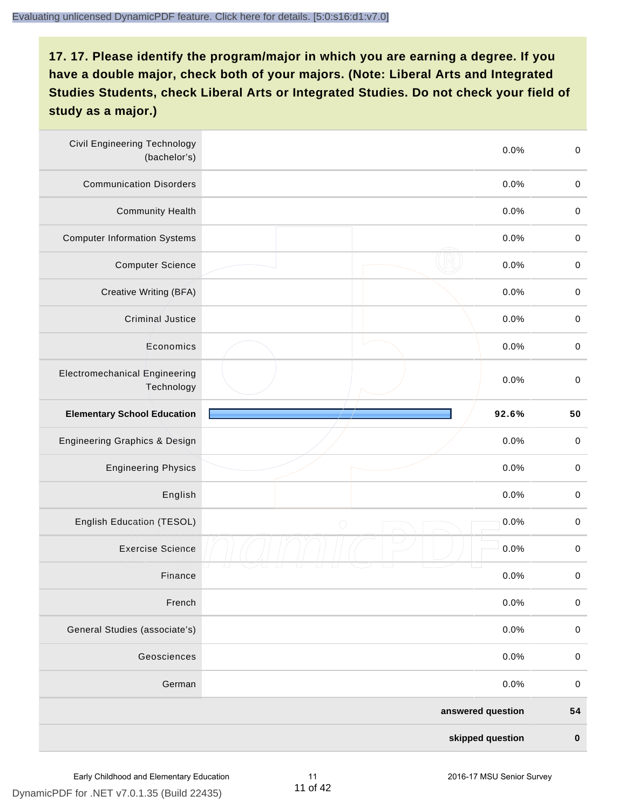| <b>Civil Engineering Technology</b><br>(bachelor's) | 0.0%               | $\mathbf 0$ |
|-----------------------------------------------------|--------------------|-------------|
| <b>Communication Disorders</b>                      | 0.0%               | $\mathbf 0$ |
| <b>Community Health</b>                             | 0.0%               | $\mathbf 0$ |
| <b>Computer Information Systems</b>                 | 0.0%               | $\pmb{0}$   |
| <b>Computer Science</b>                             | 0.0%               | $\mathbf 0$ |
| Creative Writing (BFA)                              | 0.0%               | $\mathbf 0$ |
| <b>Criminal Justice</b>                             | 0.0%               | $\pmb{0}$   |
| Economics                                           | 0.0%               | $\mathbf 0$ |
| <b>Electromechanical Engineering</b><br>Technology  | 0.0%               | $\mathbf 0$ |
| <b>Elementary School Education</b>                  | 92.6%              | 50          |
| Engineering Graphics & Design                       | 0.0%               | $\pmb{0}$   |
| <b>Engineering Physics</b>                          | 0.0%               | $\mathbf 0$ |
| English                                             | 0.0%               | $\pmb{0}$   |
| English Education (TESOL)                           | 0.0%<br>$\bigcirc$ | $\pmb{0}$   |
| <b>Exercise Science</b>                             | 0.0%               | $\pmb{0}$   |
| Finance                                             | 0.0%               | $\pmb{0}$   |
| French                                              | 0.0%               | $\mathbf 0$ |
| General Studies (associate's)                       | 0.0%               | $\,0\,$     |
| Geosciences                                         | 0.0%               | $\mathbf 0$ |
| German                                              | 0.0%               | $\mathbf 0$ |
|                                                     | answered question  | 54          |
|                                                     | skipped question   | $\pmb{0}$   |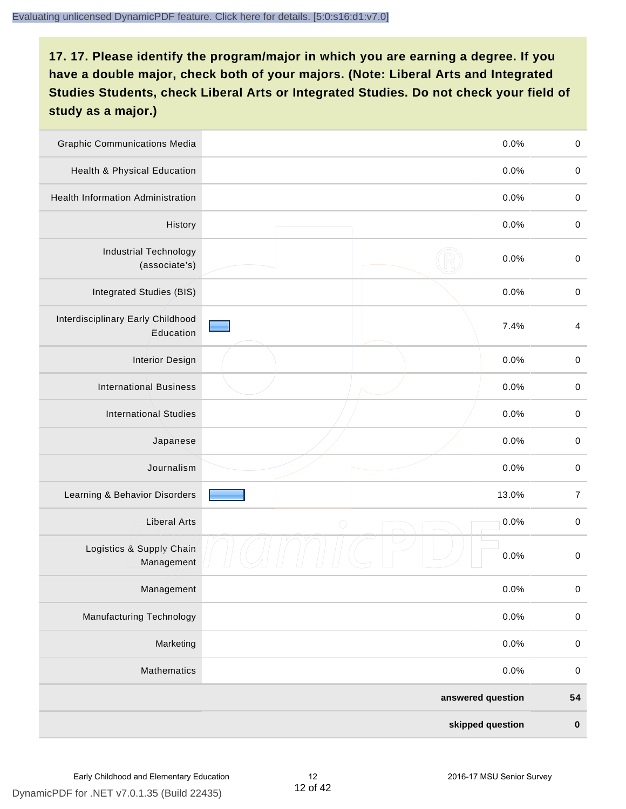| <b>Graphic Communications Media</b>            |            | 0.0%              | $\mathbf 0$             |
|------------------------------------------------|------------|-------------------|-------------------------|
| <b>Health &amp; Physical Education</b>         |            | 0.0%              | $\mathbf 0$             |
| <b>Health Information Administration</b>       |            | 0.0%              | $\mathbf 0$             |
| History                                        |            | 0.0%              | $\,0\,$                 |
| <b>Industrial Technology</b><br>(associate's)  |            | 0.0%              | $\mathbf 0$             |
| Integrated Studies (BIS)                       |            | 0.0%              | $\,0\,$                 |
| Interdisciplinary Early Childhood<br>Education |            | 7.4%              | $\overline{\mathbf{4}}$ |
| <b>Interior Design</b>                         |            | 0.0%              | $\pmb{0}$               |
| <b>International Business</b>                  |            | 0.0%              | $\mathbf 0$             |
| <b>International Studies</b>                   |            | 0.0%              | $\mathbf 0$             |
| Japanese                                       |            | 0.0%              | $\mathbf 0$             |
| Journalism                                     |            | 0.0%              | $\mathbf 0$             |
| Learning & Behavior Disorders                  |            | 13.0%             | $\boldsymbol{7}$        |
| <b>Liberal Arts</b>                            | $\bigcirc$ | 0.0%              | $\mathbf 0$             |
| Logistics & Supply Chain<br>Management         |            | 0.0%              | $\mathbf 0$             |
| Management                                     |            | 0.0%              | $\pmb{0}$               |
| <b>Manufacturing Technology</b>                |            | 0.0%              | $\mathbf 0$             |
| Marketing                                      |            | 0.0%              | $\mathbf 0$             |
| Mathematics                                    |            | 0.0%              | $\mathbf 0$             |
|                                                |            | answered question | 54                      |
|                                                |            | skipped question  | $\pmb{0}$               |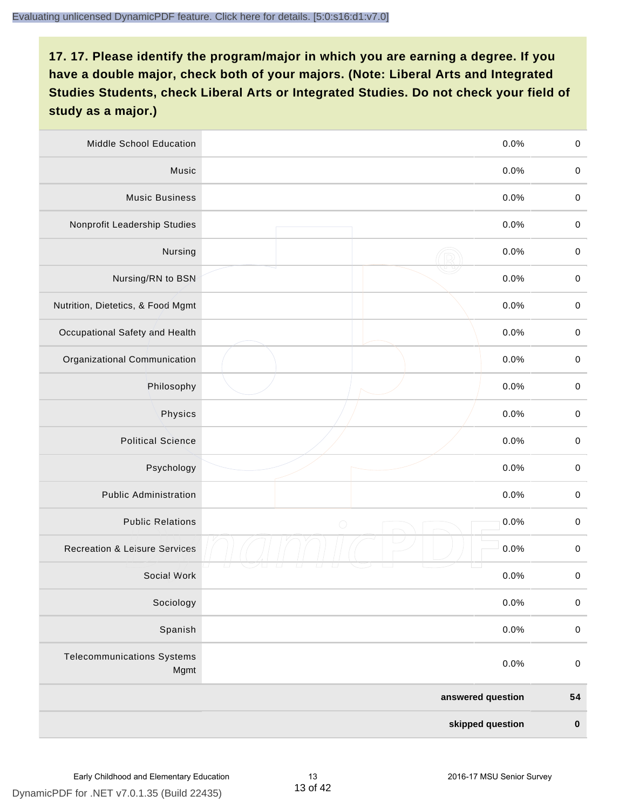| <b>Middle School Education</b>            | 0.0%               | $\mathbf 0$ |
|-------------------------------------------|--------------------|-------------|
| Music                                     | 0.0%               | $\mathbf 0$ |
| <b>Music Business</b>                     | 0.0%               | $\pmb{0}$   |
| Nonprofit Leadership Studies              | 0.0%               | $\mathbf 0$ |
| Nursing                                   | 0.0%               | $\mathbf 0$ |
| Nursing/RN to BSN                         | 0.0%               | $\,0\,$     |
| Nutrition, Dietetics, & Food Mgmt         | 0.0%               | $\mathbf 0$ |
| Occupational Safety and Health            | 0.0%               | $\mathbf 0$ |
| Organizational Communication              | 0.0%               | $\mathbf 0$ |
| Philosophy                                | 0.0%               | $\mathbf 0$ |
| Physics                                   | 0.0%               | $\,0\,$     |
| <b>Political Science</b>                  | 0.0%               | $\mathbf 0$ |
| Psychology                                | 0.0%               | $\mathbf 0$ |
| <b>Public Administration</b>              | 0.0%               | $\pmb{0}$   |
| <b>Public Relations</b>                   | 0.0%<br>$\bigcirc$ | $\pmb{0}$   |
| <b>Recreation &amp; Leisure Services</b>  | 0.0%               | $\pmb{0}$   |
| Social Work                               | 0.0%               | $\pmb{0}$   |
| Sociology                                 | 0.0%               | $\mathbf 0$ |
| Spanish                                   | 0.0%               | $\pmb{0}$   |
| <b>Telecommunications Systems</b><br>Mgmt | 0.0%               | $\pmb{0}$   |
|                                           | answered question  | 54          |
|                                           | skipped question   | $\pmb{0}$   |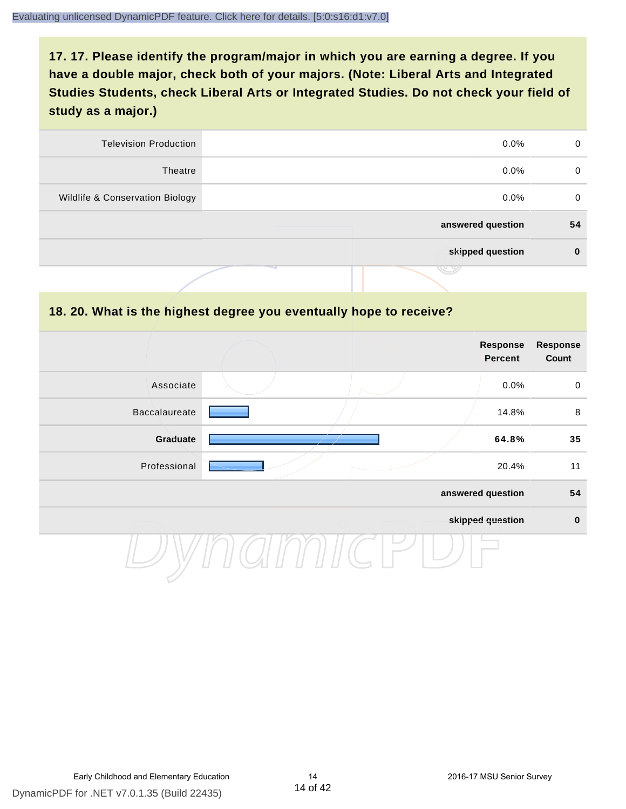| 0  | $0.0\%$           | <b>Television Production</b>    |
|----|-------------------|---------------------------------|
| 0  | $0.0\%$           | Theatre                         |
| 0  | $0.0\%$           | Wildlife & Conservation Biology |
| 54 | answered question |                                 |
| 0  | skipped question  |                                 |
|    | J 9               |                                 |

#### **18. 20. What is the highest degree you eventually hope to receive?**

|               |  | Response<br>Percent | <b>Response</b><br>Count |
|---------------|--|---------------------|--------------------------|
| Associate     |  | 0.0%                | $\mathbf 0$              |
| Baccalaureate |  | 14.8%               | 8                        |
| Graduate      |  | 64.8%               | 35                       |
| Professional  |  | 20.4%               | 11                       |
|               |  | answered question   | 54                       |
|               |  | skipped question    | $\pmb{0}$                |
|               |  |                     |                          |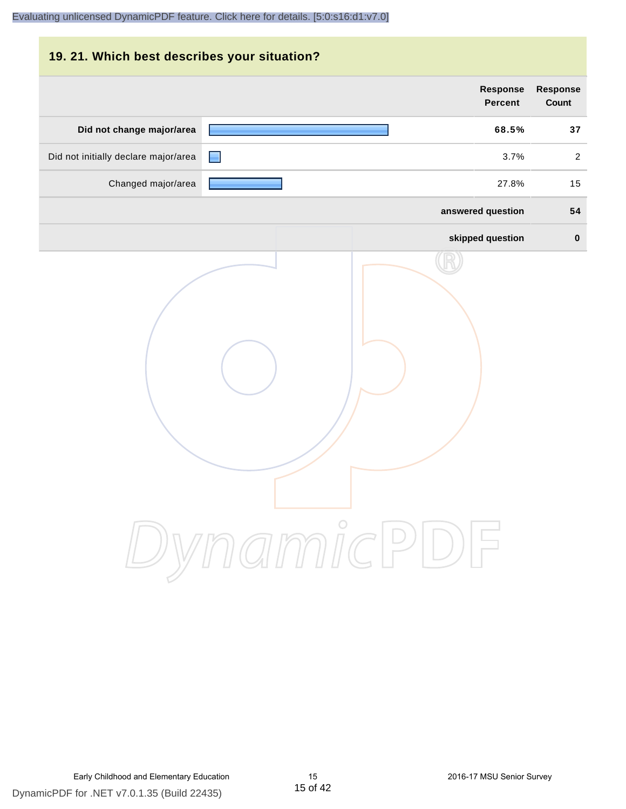|                                      | Response          | <b>Response</b> |
|--------------------------------------|-------------------|-----------------|
|                                      | <b>Percent</b>    | <b>Count</b>    |
| Did not change major/area            | 68.5%             | 37              |
| Did not initially declare major/area | 3.7%              | $\overline{2}$  |
| Changed major/area                   | 27.8%             | 15              |
|                                      | answered question | 54              |
|                                      | skipped question  | $\bf{0}$        |
| DynamicPDF                           |                   |                 |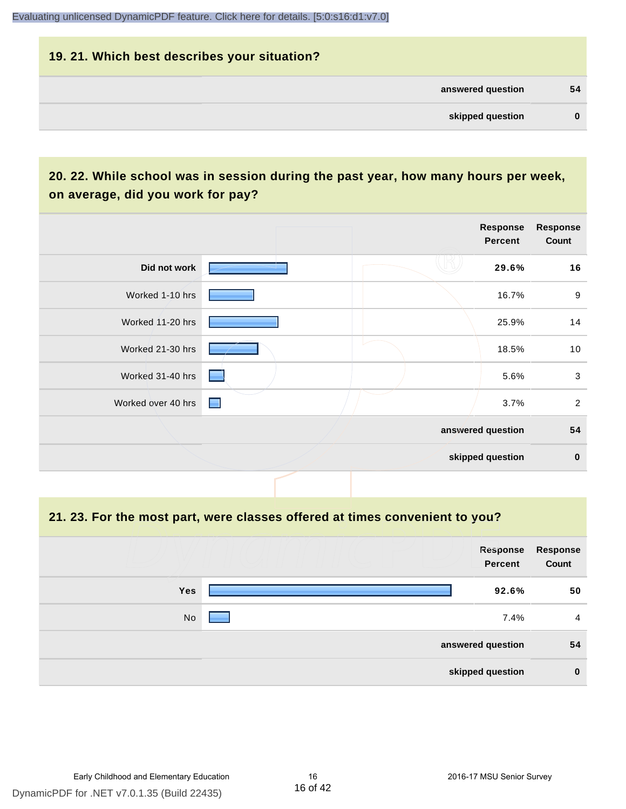## **19. 21. Which best describes your situation? answered question 54 skipped question 0**

#### **20. 22. While school was in session during the past year, how many hours per week, on average, did you work for pay?**

|                    |                |  | Response<br><b>Percent</b> | <b>Response</b><br>Count  |
|--------------------|----------------|--|----------------------------|---------------------------|
| Did not work       |                |  | 29.6%                      | 16                        |
| Worked 1-10 hrs    |                |  | 16.7%                      | 9                         |
| Worked 11-20 hrs   |                |  | 25.9%                      | 14                        |
| Worked 21-30 hrs   |                |  | 18.5%                      | 10                        |
| Worked 31-40 hrs   |                |  | 5.6%                       | $\ensuremath{\mathsf{3}}$ |
| Worked over 40 hrs | $\blacksquare$ |  | 3.7%                       | $\overline{2}$            |
|                    |                |  | answered question          | 54                        |
|                    |                |  | skipped question           | $\pmb{0}$                 |

#### **21. 23. For the most part, were classes offered at times convenient to you?**

|            | Response<br>Percent | <b>Response</b><br>Count |
|------------|---------------------|--------------------------|
| <b>Yes</b> | 92.6%               | 50                       |
| No         | 7.4%                | 4                        |
|            | answered question   | 54                       |
|            | skipped question    | $\bf{0}$                 |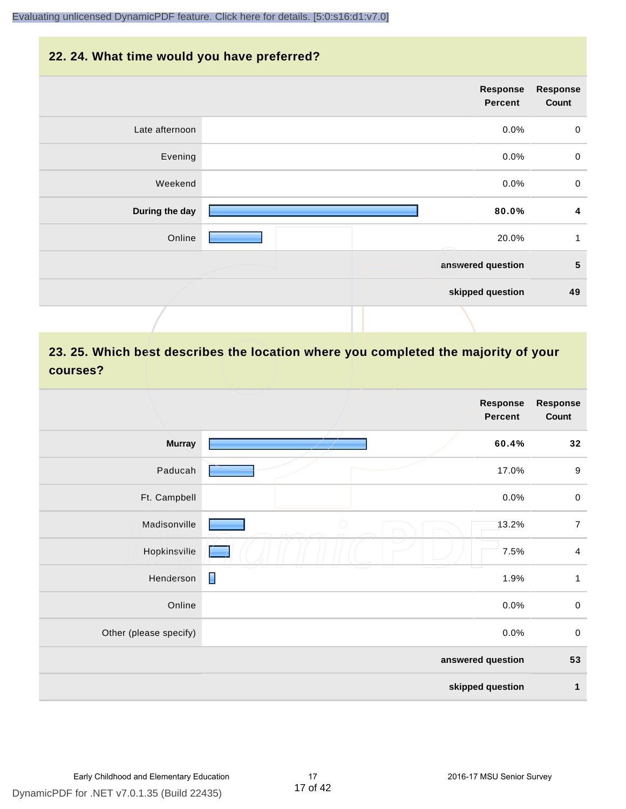#### **22. 24. What time would you have preferred?**

|                | <b>Response</b><br>Percent | <b>Response</b><br>Count |
|----------------|----------------------------|--------------------------|
| Late afternoon | 0.0%                       | $\boldsymbol{0}$         |
| Evening        | 0.0%                       | $\boldsymbol{0}$         |
| Weekend        | 0.0%                       | $\mathbf 0$              |
| During the day | 80.0%                      | 4                        |
| Online         | 20.0%                      | 1                        |
|                | answered question          | $5\phantom{.0}$          |
|                | skipped question           | 49                       |
|                |                            |                          |

#### **23. 25. Which best describes the location where you completed the majority of your courses?**

|                        |                | <b>Response</b><br><b>Percent</b> | <b>Response</b><br>Count |
|------------------------|----------------|-----------------------------------|--------------------------|
| <b>Murray</b>          |                | 60.4%                             | 32                       |
| Paducah                |                | 17.0%                             | $\boldsymbol{9}$         |
| Ft. Campbell           |                | 0.0%                              | $\pmb{0}$                |
| Madisonville           | $\bigcirc$     | 13.2%                             | $\overline{7}$           |
| Hopkinsville           |                | 7.5%                              | $\overline{4}$           |
| Henderson              | $\blacksquare$ | 1.9%                              | $\mathbf{1}$             |
| Online                 |                | 0.0%                              | $\pmb{0}$                |
| Other (please specify) |                | 0.0%                              | $\,0\,$                  |
|                        |                | answered question                 | 53                       |
|                        |                | skipped question                  | $\mathbf{1}$             |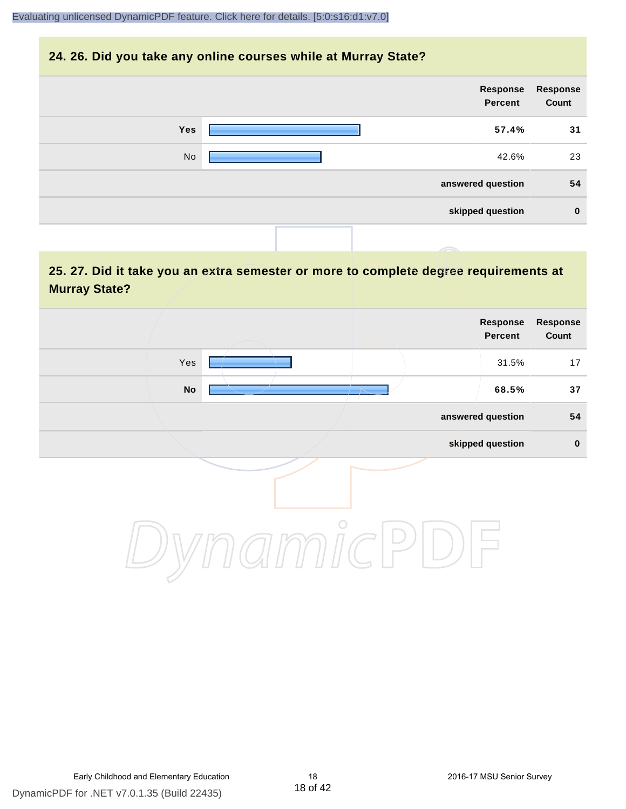#### **24. 26. Did you take any online courses while at Murray State?**

| <b>Response</b><br>Count | Response<br>Percent |     |
|--------------------------|---------------------|-----|
| 31                       | 57.4%               | Yes |
| 23                       | 42.6%               | No  |
| 54                       | answered question   |     |
| $\mathbf 0$              | skipped question    |     |
|                          |                     |     |

#### **25. 27. Did it take you an extra semester or more to complete degree requirements at Murray State?**

| Response<br>Count | Response<br>Percent |         |           |  |
|-------------------|---------------------|---------|-----------|--|
| 17                | 31.5%               |         | Yes       |  |
| 37                | 68.5%               |         | <b>No</b> |  |
| 54                | answered question   |         |           |  |
| $\pmb{0}$         | skipped question    |         |           |  |
|                   |                     | $\circ$ |           |  |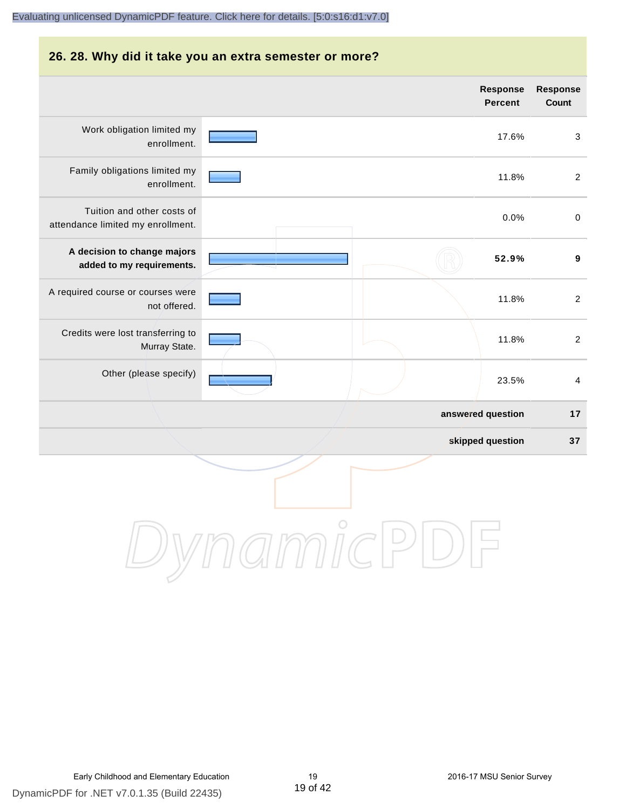#### **26. 28. Why did it take you an extra semester or more? Response Response Percent Count** Work obligation limited my 17.6% 3 enrollment. Family obligations limited my 11.8% 2 enrollment. Tuition and other costs of 0.0% 0 attendance limited my enrollment. **A decision to change majors 52.9% 9 added to my requirements.** A required course or courses were 11.8% 2 not offered. Credits were lost transferring to 11.8% 2 Murray State. Other (please specify) 23.5% 4 **answered question 17 skipped question 37** DynamicPDI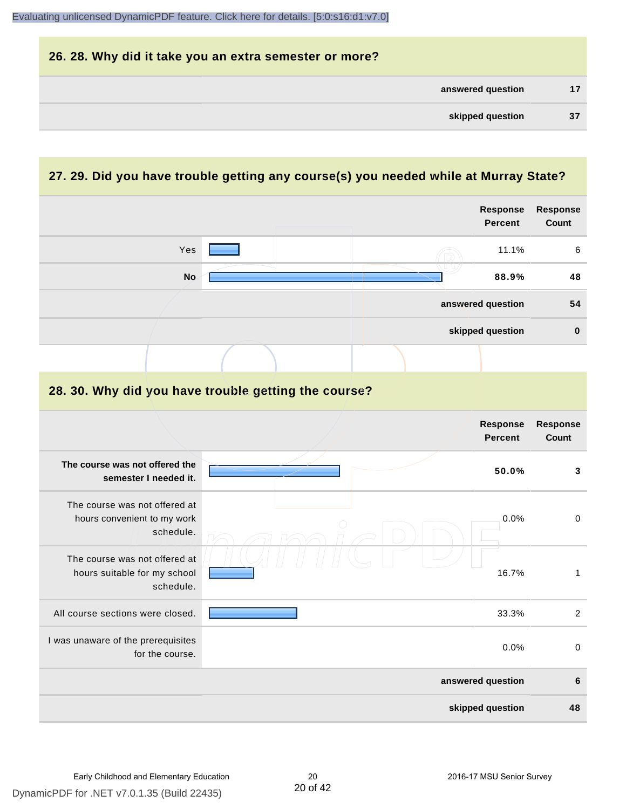| 26. 28. Why did it take you an extra semester or more? |    |
|--------------------------------------------------------|----|
| answered question                                      | 17 |
| skipped question                                       | 37 |

#### **27. 29. Did you have trouble getting any course(s) you needed while at Murray State?**

|                                                                            |  |  | <b>Response</b><br><b>Percent</b> | Response<br>Count               |
|----------------------------------------------------------------------------|--|--|-----------------------------------|---------------------------------|
| Yes                                                                        |  |  | 11.1%                             | 6                               |
| <b>No</b>                                                                  |  |  | 88.9%                             | 48                              |
|                                                                            |  |  | answered question                 | 54                              |
|                                                                            |  |  | skipped question                  | $\bf{0}$                        |
|                                                                            |  |  |                                   |                                 |
| 28. 30. Why did you have trouble getting the course?                       |  |  |                                   |                                 |
|                                                                            |  |  | <b>Response</b><br><b>Percent</b> | <b>Response</b><br><b>Count</b> |
| The course was not offered the<br>semester I needed it.                    |  |  | 50.0%                             | 3                               |
| The course was not offered at<br>hours convenient to my work<br>schedule.  |  |  | 0.0%                              | $\pmb{0}$                       |
| The course was not offered at<br>hours suitable for my school<br>schedule. |  |  | 16.7%                             | $\mathbf{1}$                    |
| All course sections were closed.                                           |  |  | 33.3%                             | $\overline{2}$                  |
| I was unaware of the prerequisites<br>for the course.                      |  |  | 0.0%                              | $\boldsymbol{0}$                |
|                                                                            |  |  | answered question                 | 6                               |
|                                                                            |  |  | skipped question                  | 48                              |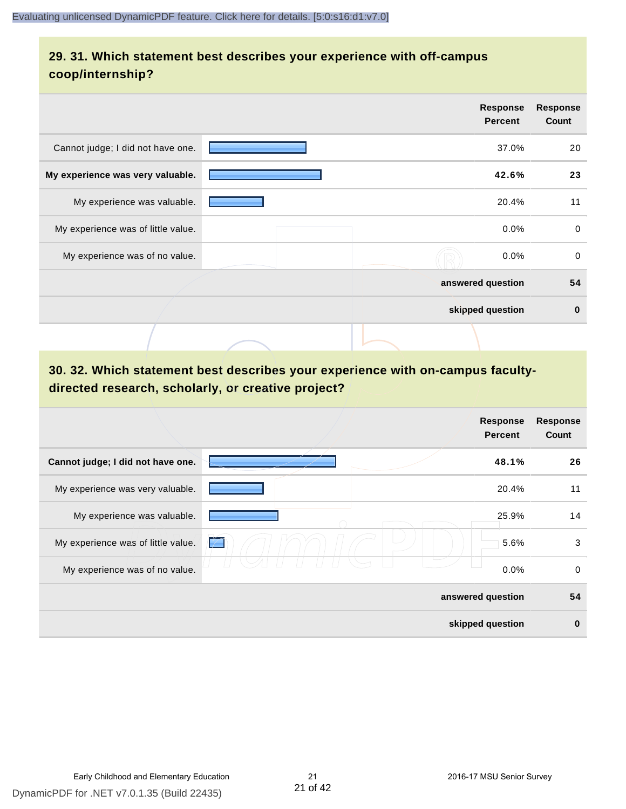#### **29. 31. Which statement best describes your experience with off-campus coop/internship?**

|                                    | <b>Response</b><br><b>Percent</b> | <b>Response</b><br>Count |
|------------------------------------|-----------------------------------|--------------------------|
| Cannot judge; I did not have one.  | 37.0%                             | 20                       |
| My experience was very valuable.   | 42.6%                             | 23                       |
| My experience was valuable.        | 20.4%                             | 11                       |
| My experience was of little value. | $0.0\%$                           | $\mathbf 0$              |
| My experience was of no value.     | $0.0\%$                           | $\mathbf 0$              |
|                                    | answered question                 | 54                       |
|                                    | skipped question                  | $\bf{0}$                 |
|                                    |                                   |                          |

#### **30. 32. Which statement best describes your experience with on-campus facultydirected research, scholarly, or creative project?**

|                                    | Response<br><b>Percent</b> | <b>Response</b><br>Count |
|------------------------------------|----------------------------|--------------------------|
| Cannot judge; I did not have one.  | 48.1%                      | 26                       |
| My experience was very valuable.   | 20.4%                      | 11                       |
| My experience was valuable.        | 25.9%                      | 14                       |
| My experience was of little value. | 5.6%<br>$\mathcal{V}$      | 3                        |
| My experience was of no value.     | 0.0%                       | 0                        |
|                                    | answered question          | 54                       |
|                                    | skipped question           | $\mathbf 0$              |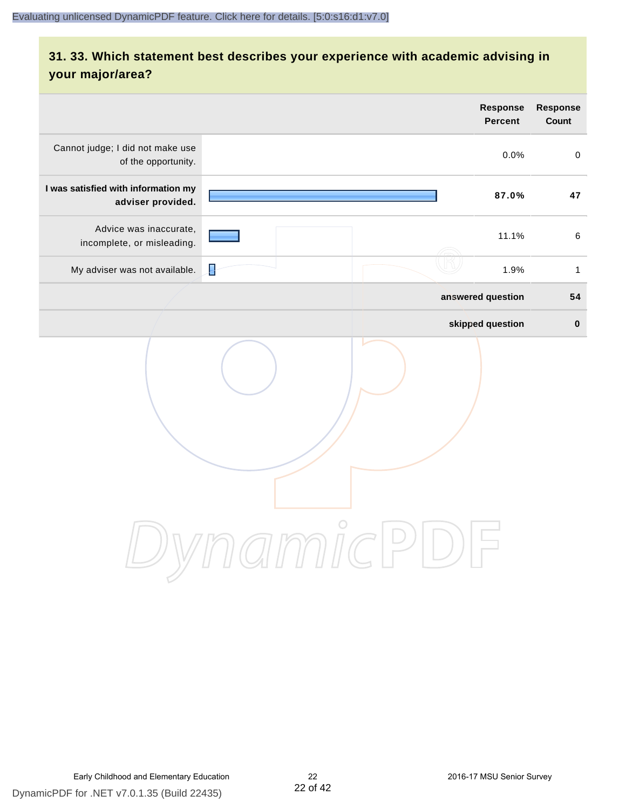#### **31. 33. Which statement best describes your experience with academic advising in your major/area?**

|                                                          |        |          | <b>Response</b><br><b>Percent</b> | Response<br>Count |
|----------------------------------------------------------|--------|----------|-----------------------------------|-------------------|
| Cannot judge; I did not make use<br>of the opportunity.  |        |          | 0.0%                              | $\mathsf 0$       |
| I was satisfied with information my<br>adviser provided. |        |          | 87.0%                             | 47                |
| Advice was inaccurate,<br>incomplete, or misleading.     |        |          | 11.1%                             | $\,6\,$           |
| My adviser was not available.                            | ₽      |          | 1.9%                              | $\mathbf{1}$      |
|                                                          |        |          | answered question                 | 54                |
|                                                          |        |          | skipped question                  | $\pmb{0}$         |
|                                                          | amicPl | $\Box$ ) |                                   |                   |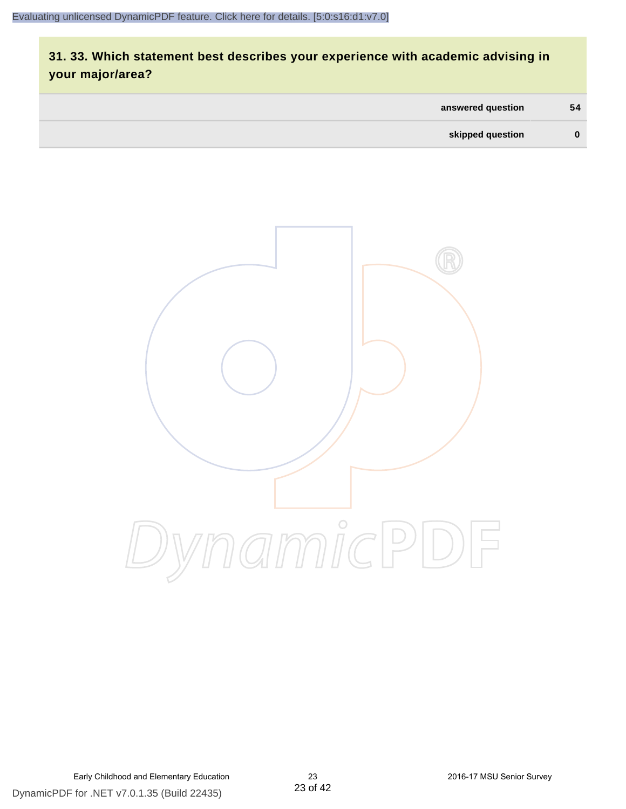#### **31. 33. Which statement best describes your experience with academic advising in your major/area?**

| answered question | 54       |
|-------------------|----------|
| skipped question  | $\bf{0}$ |

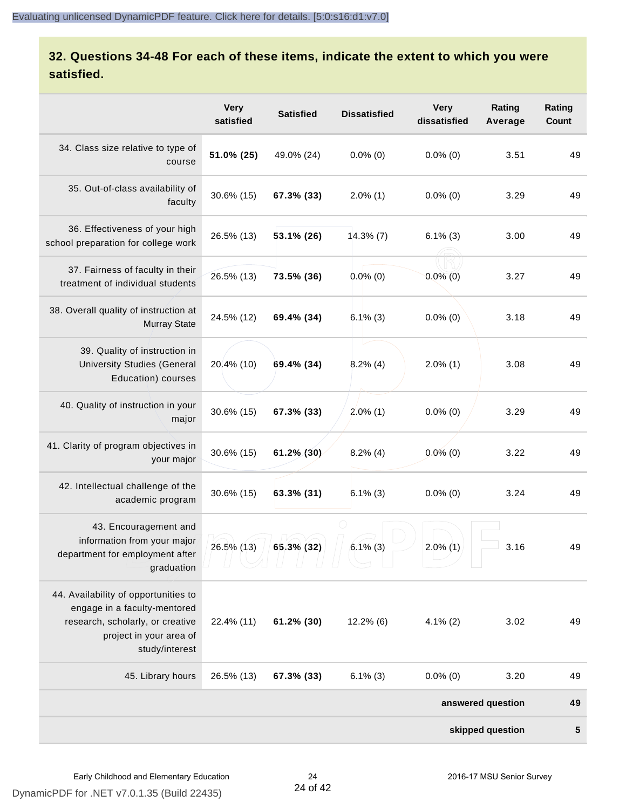#### **32. Questions 34-48 For each of these items, indicate the extent to which you were satisfied.**

|                                                                                                                                                       | <b>Very</b><br>satisfied | <b>Satisfied</b> | <b>Dissatisfied</b> | <b>Very</b><br>dissatisfied | Rating<br>Average | Rating<br>Count |
|-------------------------------------------------------------------------------------------------------------------------------------------------------|--------------------------|------------------|---------------------|-----------------------------|-------------------|-----------------|
| 34. Class size relative to type of<br>course                                                                                                          | 51.0% (25)               | 49.0% (24)       | $0.0\%$ (0)         | $0.0\%$ (0)                 | 3.51              | 49              |
| 35. Out-of-class availability of<br>faculty                                                                                                           | 30.6% (15)               | 67.3% (33)       | $2.0\%$ (1)         | $0.0\%$ (0)                 | 3.29              | 49              |
| 36. Effectiveness of your high<br>school preparation for college work                                                                                 | 26.5% (13)               | $53.1\%$ (26)    | $14.3\%$ (7)        | $6.1\%$ (3)                 | 3.00              | 49              |
| 37. Fairness of faculty in their<br>treatment of individual students                                                                                  | 26.5% (13)               | 73.5% (36)       | $0.0\%$ (0)         | $0.0\%$ (0)                 | 3.27              | 49              |
| 38. Overall quality of instruction at<br><b>Murray State</b>                                                                                          | 24.5% (12)               | 69.4% (34)       | $6.1\%$ (3)         | $0.0\%$ (0)                 | 3.18              | 49              |
| 39. Quality of instruction in<br><b>University Studies (General</b><br>Education) courses                                                             | 20.4% (10)               | 69.4% (34)       | $8.2\%$ (4)         | $2.0\%$ (1)                 | 3.08              | 49              |
| 40. Quality of instruction in your<br>major                                                                                                           | 30.6% (15)               | 67.3% (33)       | $2.0\%$ (1)         | $0.0\%$ (0)                 | 3.29              | 49              |
| 41. Clarity of program objectives in<br>your major                                                                                                    | 30.6% (15)               | 61.2% (30)       | $8.2\%$ (4)         | $0.0\%$ (0)                 | 3.22              | 49              |
| 42. Intellectual challenge of the<br>academic program                                                                                                 | 30.6% (15)               | 63.3% (31)       | $6.1\%$ (3)         | $0.0\%$ (0)                 | 3.24              | 49              |
| 43. Encouragement and<br>information from your major<br>department for employment after<br>graduation                                                 | 26.5% (13)               | 65.3% (32)       | $6.1\%$ (3)         | $2.0\%$ (1)                 | 3.16              | 49              |
| 44. Availability of opportunities to<br>engage in a faculty-mentored<br>research, scholarly, or creative<br>project in your area of<br>study/interest | 22.4% (11)               | 61.2% (30)       | $12.2\%$ (6)        | $4.1\%$ (2)                 | 3.02              | 49              |
| 45. Library hours                                                                                                                                     | 26.5% (13)               | 67.3% (33)       | $6.1\%$ (3)         | $0.0\%$ (0)                 | 3.20              | 49              |
|                                                                                                                                                       |                          |                  |                     |                             | answered question | 49              |
|                                                                                                                                                       |                          |                  |                     |                             | skipped question  | 5               |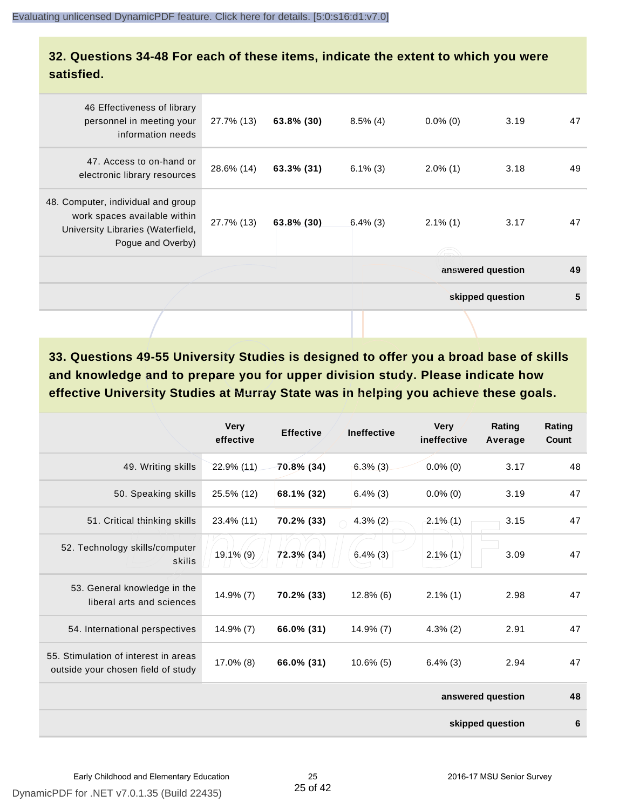#### **32. Questions 34-48 For each of these items, indicate the extent to which you were satisfied.**

| 46 Effectiveness of library<br>personnel in meeting your<br>information needs                                                | 27.7% (13) | 63.8% (30) | $8.5\%$ (4) | $0.0\%$ (0)       | 3.19             | 47 |
|------------------------------------------------------------------------------------------------------------------------------|------------|------------|-------------|-------------------|------------------|----|
| 47. Access to on-hand or<br>electronic library resources                                                                     | 28.6% (14) | 63.3% (31) | $6.1\%$ (3) | $2.0\%$ (1)       | 3.18             | 49 |
| 48. Computer, individual and group<br>work spaces available within<br>University Libraries (Waterfield,<br>Pogue and Overby) | 27.7% (13) | 63.8% (30) | $6.4\%$ (3) | $2.1\%$ (1)       | 3.17             | 47 |
|                                                                                                                              |            |            |             | answered question |                  | 49 |
|                                                                                                                              |            |            |             |                   | skipped question | 5  |
|                                                                                                                              |            |            |             |                   |                  |    |

**33. Questions 49-55 University Studies is designed to offer you a broad base of skills and knowledge and to prepare you for upper division study. Please indicate how effective University Studies at Murray State was in helping you achieve these goals.**

|                                                                            | <b>Very</b><br>effective | <b>Effective</b> | <b>Ineffective</b> | <b>Very</b><br>ineffective | Rating<br>Average | Rating<br>Count |
|----------------------------------------------------------------------------|--------------------------|------------------|--------------------|----------------------------|-------------------|-----------------|
| 49. Writing skills                                                         | 22.9% (11)               | 70.8% (34)       | $6.3\%$ (3)        | $0.0\%$ (0)                | 3.17              | 48              |
| 50. Speaking skills                                                        | 25.5% (12)               | 68.1% (32)       | $6.4\%$ (3)        | $0.0\%$ (0)                | 3.19              | 47              |
| 51. Critical thinking skills                                               | 23.4% (11)               | 70.2% (33)       | $4.3\%$ (2)        | $2.1\%$ (1)                | 3.15              | 47              |
| 52. Technology skills/computer<br>skills                                   | 19.1% (9)                | 72.3% (34)       | $6.4\%$ (3)        | $2.1\%$ (1)                | 3.09              | 47              |
| 53. General knowledge in the<br>liberal arts and sciences                  | $14.9\%$ (7)             | 70.2% (33)       | $12.8\%$ (6)       | $2.1\%$ (1)                | 2.98              | 47              |
| 54. International perspectives                                             | 14.9% (7)                | 66.0% (31)       | $14.9\%$ (7)       | $4.3\%$ (2)                | 2.91              | 47              |
| 55. Stimulation of interest in areas<br>outside your chosen field of study | 17.0% (8)                | 66.0% (31)       | $10.6\%$ (5)       | $6.4\%$ (3)                | 2.94              | 47              |
|                                                                            |                          |                  |                    |                            | answered question | 48              |
|                                                                            |                          |                  |                    |                            | skipped question  | 6               |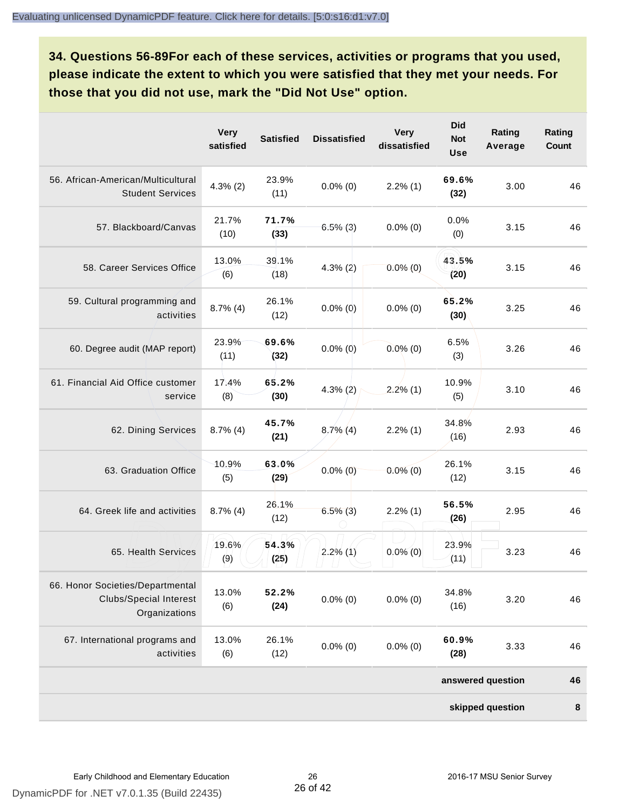**34. Questions 56-89For each of these services, activities or programs that you used, please indicate the extent to which you were satisfied that they met your needs. For those that you did not use, mark the "Did Not Use" option.**

|                                                                                    | <b>Very</b><br>satisfied | <b>Satisfied</b> | <b>Dissatisfied</b> | <b>Very</b><br>dissatisfied | <b>Did</b><br><b>Not</b><br><b>Use</b> | Rating<br>Average | Rating<br>Count |
|------------------------------------------------------------------------------------|--------------------------|------------------|---------------------|-----------------------------|----------------------------------------|-------------------|-----------------|
| 56. African-American/Multicultural<br><b>Student Services</b>                      | $4.3\%$ (2)              | 23.9%<br>(11)    | $0.0\%$ (0)         | $2.2\%$ (1)                 | 69.6%<br>(32)                          | 3.00              | 46              |
| 57. Blackboard/Canvas                                                              | 21.7%<br>(10)            | 71.7%<br>(33)    | $6.5\%$ (3)         | $0.0\%$ (0)                 | 0.0%<br>(0)                            | 3.15              | 46              |
| 58. Career Services Office                                                         | 13.0%<br>(6)             | 39.1%<br>(18)    | $4.3\%$ (2)         | $0.0\%$ (0)                 | 43.5%<br>(20)                          | 3.15              | 46              |
| 59. Cultural programming and<br>activities                                         | $8.7\%$ (4)              | 26.1%<br>(12)    | $0.0\%$ (0)         | $0.0\%$ (0)                 | 65.2%<br>(30)                          | 3.25              | 46              |
| 60. Degree audit (MAP report)                                                      | 23.9%<br>(11)            | 69.6%<br>(32)    | $0.0\%$ (0)         | $0.0\%$ (0)                 | 6.5%<br>(3)                            | 3.26              | 46              |
| 61. Financial Aid Office customer<br>service                                       | 17.4%<br>(8)             | 65.2%<br>(30)    | $4.3\%$ (2)         | $2.2\%$ (1)                 | 10.9%<br>(5)                           | 3.10              | 46              |
| 62. Dining Services                                                                | $8.7\%$ (4)              | 45.7%<br>(21)    | $8.7\%$ (4)         | $2.2\%$ (1)                 | 34.8%<br>(16)                          | 2.93              | 46              |
| 63. Graduation Office                                                              | 10.9%<br>(5)             | 63.0%<br>(29)    | $0.0\%$ (0)         | $0.0\%$ (0)                 | 26.1%<br>(12)                          | 3.15              | 46              |
| 64. Greek life and activities                                                      | $8.7\%$ (4)              | 26.1%<br>(12)    | $6.5\%$ (3)         | $2.2\%$ (1)                 | 56.5%<br>(26)                          | 2.95              | 46              |
| 65. Health Services                                                                | 19.6%<br>(9)             | 54.3%<br>(25)    | $2.2\%$ (1)         | $0.0\%$ (0)                 | 23.9%<br>(11)                          | 3.23              | 46              |
| 66. Honor Societies/Departmental<br><b>Clubs/Special Interest</b><br>Organizations | 13.0%<br>(6)             | 52.2%<br>(24)    | $0.0\%$ (0)         | $0.0\%$ (0)                 | 34.8%<br>(16)                          | 3.20              | 46              |
| 67. International programs and<br>activities                                       | 13.0%<br>(6)             | 26.1%<br>(12)    | $0.0\%$ (0)         | $0.0\%$ (0)                 | 60.9%<br>(28)                          | 3.33              | 46              |
|                                                                                    |                          |                  |                     |                             |                                        | answered question | 46              |
|                                                                                    |                          |                  |                     |                             |                                        | skipped question  | $\pmb{8}$       |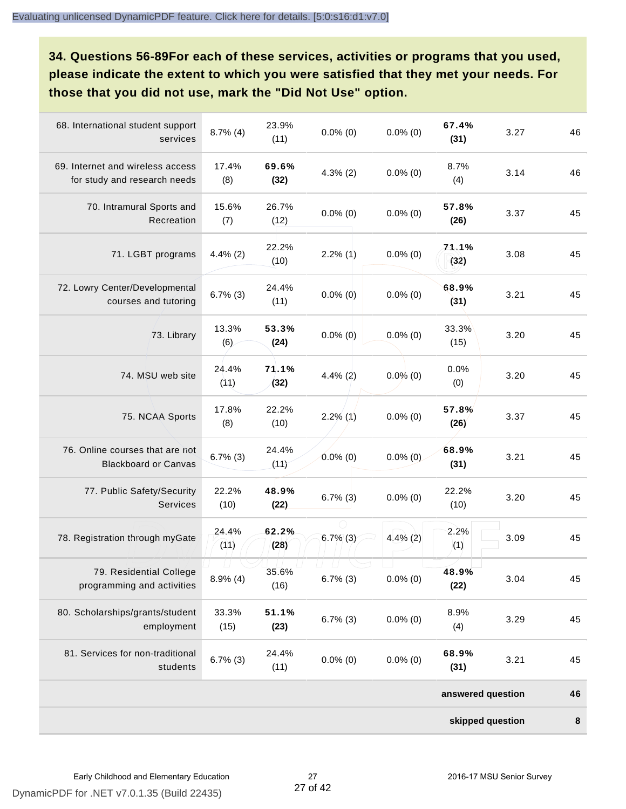**34. Questions 56-89For each of these services, activities or programs that you used, please indicate the extent to which you were satisfied that they met your needs. For those that you did not use, mark the "Did Not Use" option.**

| 68. International student support<br>services                    | $8.7\%$ (4)   | 23.9%<br>(11) | $0.0\%$ (0) | $0.0\%$ (0) | 67.4%<br>(31)     | 3.27 | 46        |
|------------------------------------------------------------------|---------------|---------------|-------------|-------------|-------------------|------|-----------|
| 69. Internet and wireless access<br>for study and research needs | 17.4%<br>(8)  | 69.6%<br>(32) | $4.3\%$ (2) | $0.0\%$ (0) | 8.7%<br>(4)       | 3.14 | 46        |
| 70. Intramural Sports and<br>Recreation                          | 15.6%<br>(7)  | 26.7%<br>(12) | $0.0\%$ (0) | $0.0\%$ (0) | 57.8%<br>(26)     | 3.37 | 45        |
| 71. LGBT programs                                                | $4.4\%$ (2)   | 22.2%<br>(10) | $2.2\%$ (1) | $0.0\%$ (0) | 71.1%<br>(32)     | 3.08 | 45        |
| 72. Lowry Center/Developmental<br>courses and tutoring           | $6.7\%$ (3)   | 24.4%<br>(11) | $0.0\%$ (0) | $0.0\%$ (0) | 68.9%<br>(31)     | 3.21 | 45        |
| 73. Library                                                      | 13.3%<br>(6)  | 53.3%<br>(24) | $0.0\%$ (0) | $0.0\%$ (0) | 33.3%<br>(15)     | 3.20 | 45        |
| 74. MSU web site                                                 | 24.4%<br>(11) | 71.1%<br>(32) | $4.4\%$ (2) | $0.0\%$ (0) | 0.0%<br>(0)       | 3.20 | 45        |
| 75. NCAA Sports                                                  | 17.8%<br>(8)  | 22.2%<br>(10) | $2.2\%$ (1) | $0.0\%$ (0) | 57.8%<br>(26)     | 3.37 | 45        |
| 76. Online courses that are not<br><b>Blackboard or Canvas</b>   | $6.7\%$ (3)   | 24.4%<br>(11) | $0.0\%$ (0) | $0.0\%$ (0) | 68.9%<br>(31)     | 3.21 | 45        |
| 77. Public Safety/Security<br><b>Services</b>                    | 22.2%<br>(10) | 48.9%<br>(22) | $6.7\%$ (3) | $0.0\%$ (0) | 22.2%<br>(10)     | 3.20 | 45        |
| 78. Registration through myGate                                  | 24.4%<br>(11) | 62.2%<br>(28) | $6.7\%$ (3) | $4.4\%$ (2) | 2.2%<br>(1)       | 3.09 | 45        |
| 79. Residential College<br>programming and activities            | $8.9\%$ (4)   | 35.6%<br>(16) | $6.7\%$ (3) | $0.0\%$ (0) | 48.9%<br>(22)     | 3.04 | 45        |
| 80. Scholarships/grants/student<br>employment                    | 33.3%<br>(15) | 51.1%<br>(23) | $6.7\%$ (3) | $0.0\%$ (0) | 8.9%<br>(4)       | 3.29 | 45        |
| 81. Services for non-traditional<br>students                     | $6.7\%$ (3)   | 24.4%<br>(11) | $0.0\%$ (0) | $0.0\%$ (0) | 68.9%<br>(31)     | 3.21 | 45        |
|                                                                  |               |               |             |             | answered question |      | 46        |
|                                                                  |               |               |             |             | skipped question  |      | $\pmb{8}$ |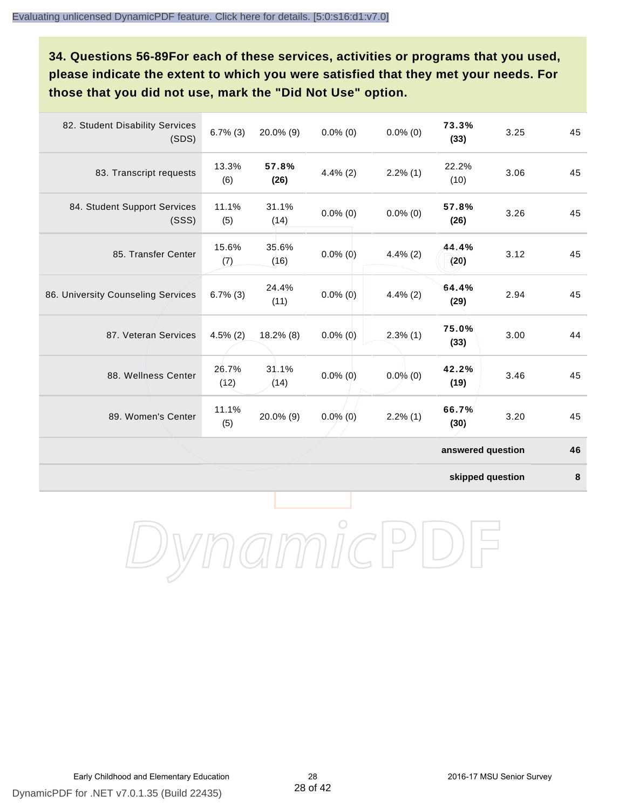**34. Questions 56-89For each of these services, activities or programs that you used, please indicate the extent to which you were satisfied that they met your needs. For those that you did not use, mark the "Did Not Use" option.**

| 82. Student Disability Services<br>(SDS) | $6.7\%$ (3)   | $20.0\%$ (9)  | $0.0\%$ (0) | $0.0\%$ (0) | 73.3%<br>(33)     | 3.25 | 45 |
|------------------------------------------|---------------|---------------|-------------|-------------|-------------------|------|----|
| 83. Transcript requests                  | 13.3%<br>(6)  | 57.8%<br>(26) | $4.4\%$ (2) | $2.2\%$ (1) | 22.2%<br>(10)     | 3.06 | 45 |
| 84. Student Support Services<br>(SSS)    | 11.1%<br>(5)  | 31.1%<br>(14) | $0.0\%$ (0) | $0.0\%$ (0) | 57.8%<br>(26)     | 3.26 | 45 |
| 85. Transfer Center                      | 15.6%<br>(7)  | 35.6%<br>(16) | $0.0\%$ (0) | $4.4\%$ (2) | 44.4%<br>(20)     | 3.12 | 45 |
| 86. University Counseling Services       | $6.7\%$ (3)   | 24.4%<br>(11) | $0.0\%$ (0) | $4.4\%$ (2) | 64.4%<br>(29)     | 2.94 | 45 |
| 87. Veteran Services                     | $4.5\%$ (2)   | 18.2% (8)     | $0.0\%$ (0) | $2.3\%$ (1) | 75.0%<br>(33)     | 3.00 | 44 |
| 88. Wellness Center                      | 26.7%<br>(12) | 31.1%<br>(14) | $0.0\%$ (0) | $0.0\%$ (0) | 42.2%<br>(19)     | 3.46 | 45 |
| 89. Women's Center                       | 11.1%<br>(5)  | 20.0% (9)     | $0.0\%$ (0) | $2.2\%$ (1) | 66.7%<br>(30)     | 3.20 | 45 |
|                                          |               |               |             |             | answered question |      | 46 |

**skipped question 8**

DynamicPDF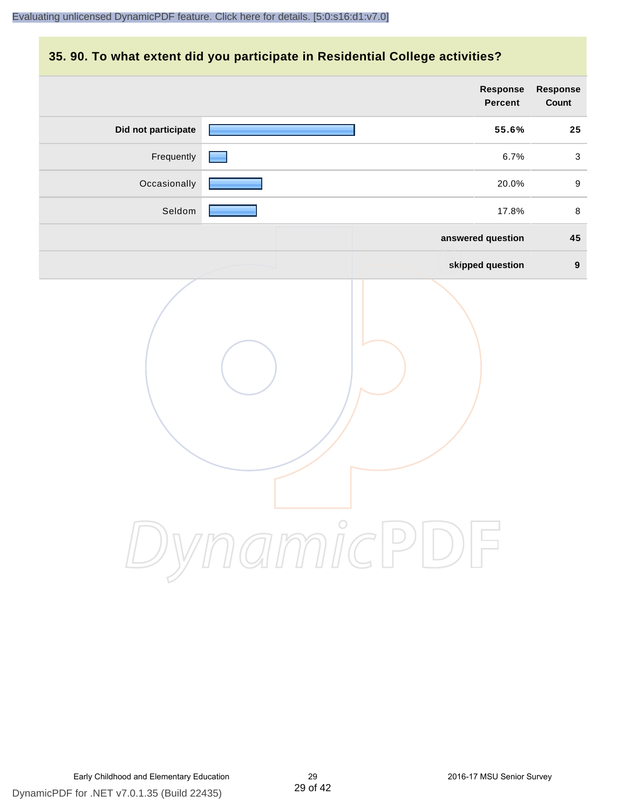#### **35. 90. To what extent did you participate in Residential College activities?**

|                     | Response<br>Percent   | Response<br>Count |
|---------------------|-----------------------|-------------------|
| Did not participate | 55.6%                 | 25                |
| Frequently          | 6.7%                  | $\mathbf{3}$      |
| Occasionally        | 20.0%                 | $\boldsymbol{9}$  |
| Seldom              | 17.8%                 | $\,8\,$           |
|                     | answered question     | 45                |
|                     | skipped question      | $\boldsymbol{9}$  |
|                     | ynamicPl<br>$\bigcup$ |                   |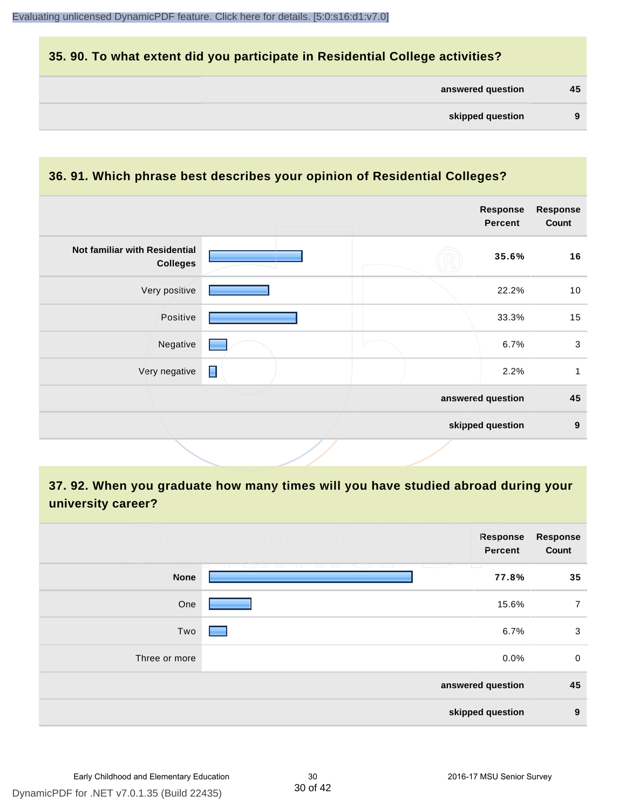#### **35. 90. To what extent did you participate in Residential College activities?**

| answered question |  | 45 |
|-------------------|--|----|
|-------------------|--|----|

#### **36. 91. Which phrase best describes your opinion of Residential Colleges?**

| Not familiar with Residential<br><b>Colleges</b> | 35.6%             | 16               |
|--------------------------------------------------|-------------------|------------------|
|                                                  |                   |                  |
| Very positive                                    | 22.2%             | 10               |
| Positive                                         | 33.3%             | 15               |
| Negative                                         | 6.7%              | $\mathbf{3}$     |
| П<br>Very negative                               | 2.2%              | 1                |
|                                                  | answered question | 45               |
|                                                  | skipped question  | $\boldsymbol{9}$ |

**37. 92. When you graduate how many times will you have studied abroad during your university career?**

|               | <b>Response</b><br>Percent                          | <b>Response</b><br>Count |
|---------------|-----------------------------------------------------|--------------------------|
| <b>None</b>   | $\overline{a}$<br>$\overline{\phantom{a}}$<br>77.8% | 35                       |
| One           | 15.6%                                               | $\overline{7}$           |
| Two           | 6.7%                                                | 3                        |
| Three or more | 0.0%                                                | $\mathbf 0$              |
|               | answered question                                   | 45                       |
|               | skipped question                                    | $\boldsymbol{9}$         |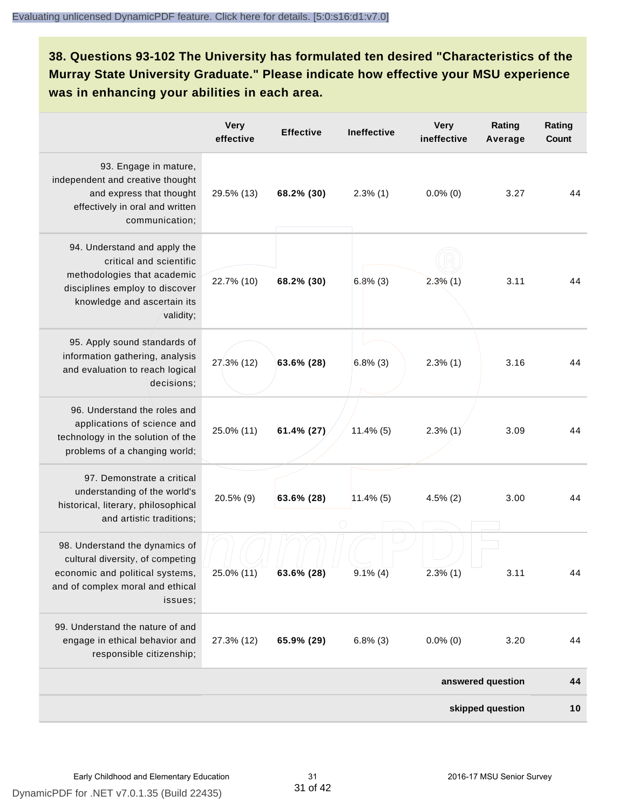#### **38. Questions 93-102 The University has formulated ten desired "Characteristics of the Murray State University Graduate." Please indicate how effective your MSU experience was in enhancing your abilities in each area.**

|                                                                                                                                                                      | <b>Very</b><br>effective | <b>Effective</b> | Ineffective  | <b>Very</b><br>ineffective | Rating<br>Average | Rating<br><b>Count</b> |
|----------------------------------------------------------------------------------------------------------------------------------------------------------------------|--------------------------|------------------|--------------|----------------------------|-------------------|------------------------|
| 93. Engage in mature,<br>independent and creative thought<br>and express that thought<br>effectively in oral and written<br>communication;                           | 29.5% (13)               | 68.2% (30)       | $2.3\%$ (1)  | $0.0\%$ (0)                | 3.27              | 44                     |
| 94. Understand and apply the<br>critical and scientific<br>methodologies that academic<br>disciplines employ to discover<br>knowledge and ascertain its<br>validity; | 22.7% (10)               | 68.2% (30)       | $6.8\%$ (3)  | $2.3\%$ (1)                | 3.11              | 44                     |
| 95. Apply sound standards of<br>information gathering, analysis<br>and evaluation to reach logical<br>decisions;                                                     | 27.3% (12)               | 63.6% (28)       | $6.8\%$ (3)  | $2.3\%$ (1)                | 3.16              | 44                     |
| 96. Understand the roles and<br>applications of science and<br>technology in the solution of the<br>problems of a changing world;                                    | 25.0% (11)               | 61.4% (27)       | $11.4\%$ (5) | $2.3\%$ (1)                | 3.09              | 44                     |
| 97. Demonstrate a critical<br>understanding of the world's<br>historical, literary, philosophical<br>and artistic traditions;                                        | 20.5% (9)                | 63.6% (28)       | $11.4\%$ (5) | $4.5\%$ (2)                | 3.00              | 44                     |
| 98. Understand the dynamics of<br>cultural diversity, of competing<br>economic and political systems,<br>and of complex moral and ethical<br>issues;                 | 25.0% (11)               | 63.6% (28)       | $9.1\%$ (4)  | $2.3\%$ (1)                | 3.11              |                        |
| 99. Understand the nature of and<br>engage in ethical behavior and<br>responsible citizenship;                                                                       | 27.3% (12)               | 65.9% (29)       | $6.8\%$ (3)  | $0.0\%$ (0)                | 3.20              | 44                     |
|                                                                                                                                                                      |                          |                  |              |                            | answered question | 44                     |
|                                                                                                                                                                      |                          |                  |              |                            | skipped question  | 10                     |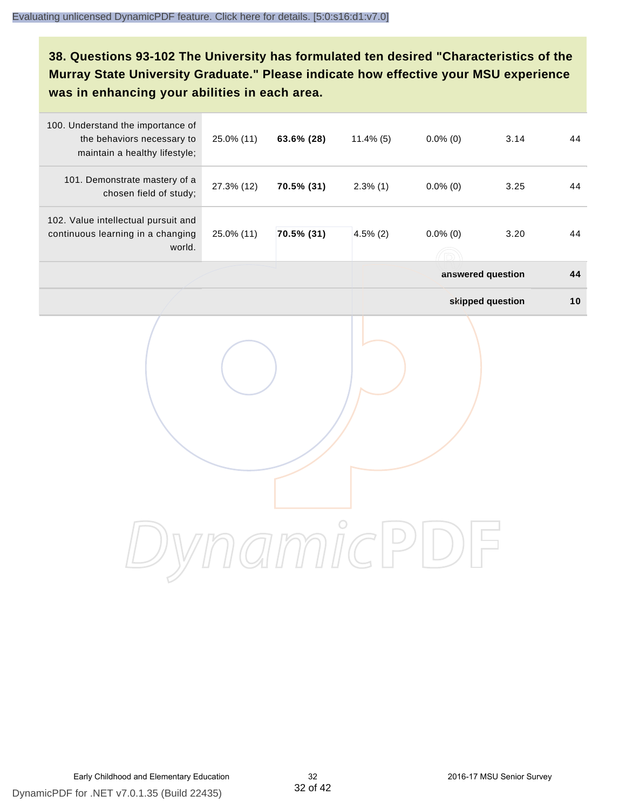#### **38. Questions 93-102 The University has formulated ten desired "Characteristics of the Murray State University Graduate." Please indicate how effective your MSU experience was in enhancing your abilities in each area.**

| 100. Understand the importance of<br>the behaviors necessary to<br>maintain a healthy lifestyle; | 25.0% (11) | 63.6% (28) | $11.4\%$ (5) | $0.0\%$ (0)                             | 3.14             | 44 |
|--------------------------------------------------------------------------------------------------|------------|------------|--------------|-----------------------------------------|------------------|----|
| 101. Demonstrate mastery of a<br>chosen field of study;                                          | 27.3% (12) | 70.5% (31) | $2.3\%$ (1)  | $0.0\%$ (0)                             | 3.25             | 44 |
| 102. Value intellectual pursuit and<br>continuous learning in a changing<br>world.               | 25.0% (11) | 70.5% (31) | $4.5\%$ (2)  | $0.0\%$ (0)<br>$(\widehat{\mathbb{R}})$ | 3.20             | 44 |
|                                                                                                  |            |            |              | answered question                       |                  | 44 |
|                                                                                                  |            |            |              |                                         | skipped question | 10 |
|                                                                                                  |            |            |              |                                         |                  |    |
|                                                                                                  |            |            |              |                                         |                  |    |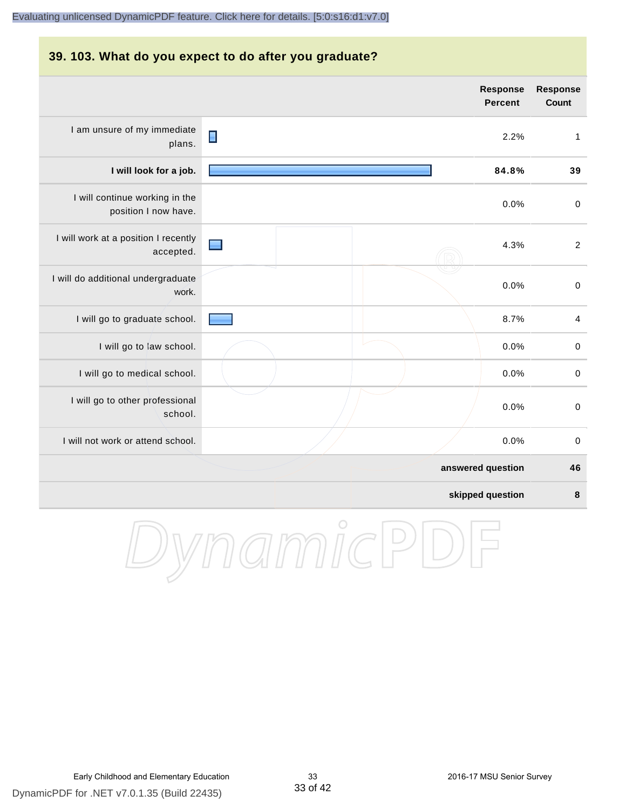### **39. 103. What do you expect to do after you graduate? Response Percent** I am unsure of my immediate  $\blacksquare$ 2.2% 1 plans. I will continue working in the position I now have. I will work at a position I recently accepted. I will do additional undergraduate work.

|  | 84.8% | 39                                    |
|--|-------|---------------------------------------|
|  | 0.0%  | $\mathbf 0$                           |
|  | 4.3%  | $\overline{2}$                        |
|  | 0.0%  | $\mathbf 0$                           |
|  | 8.7%  | 4                                     |
|  | 0.0%  | $\mathbf 0$                           |
|  | 0.0%  | $\mathbf 0$                           |
|  | 0.0%  | $\mathbf 0$                           |
|  | 0.0%  | $\pmb{0}$                             |
|  |       | 46                                    |
|  |       | $\boldsymbol{8}$                      |
|  |       | answered question<br>skipped question |



**Response Count**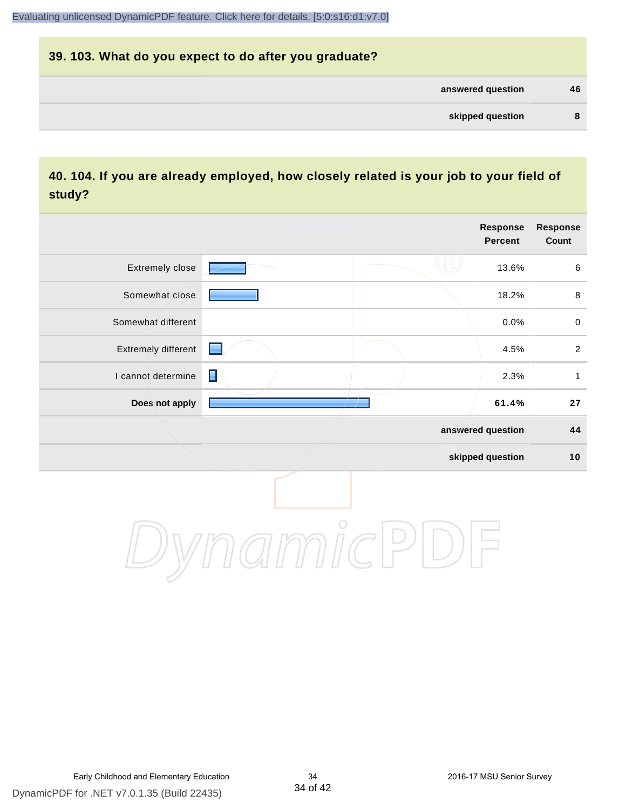### **39. 103. What do you expect to do after you graduate? answered question 46 skipped question 8**

#### **40. 104. If you are already employed, how closely related is your job to your field of study?**

|                     |                                                                                                                                                                                                                                | Response<br><b>Percent</b> | Response<br>Count |
|---------------------|--------------------------------------------------------------------------------------------------------------------------------------------------------------------------------------------------------------------------------|----------------------------|-------------------|
| Extremely close     |                                                                                                                                                                                                                                | 13.6%                      | $\,6\,$           |
| Somewhat close      |                                                                                                                                                                                                                                | 18.2%                      | $\,8\,$           |
| Somewhat different  |                                                                                                                                                                                                                                | 0.0%                       | $\pmb{0}$         |
| Extremely different | e de la partie de la partie de la partie de la partie de la partie de la partie de la partie de la partie de la partie de la partie de la partie de la partie de la partie de la partie de la partie de la partie de la partie | 4.5%                       | $\overline{2}$    |
| I cannot determine  | $\blacksquare$                                                                                                                                                                                                                 | 2.3%                       | $\mathbf{1}$      |
| Does not apply      |                                                                                                                                                                                                                                | 61.4%                      | ${\bf 27}$        |
|                     |                                                                                                                                                                                                                                | answered question          | 44                |
|                     |                                                                                                                                                                                                                                | skipped question           | 10                |
|                     | $H$ $H$ $H$ $C$                                                                                                                                                                                                                |                            |                   |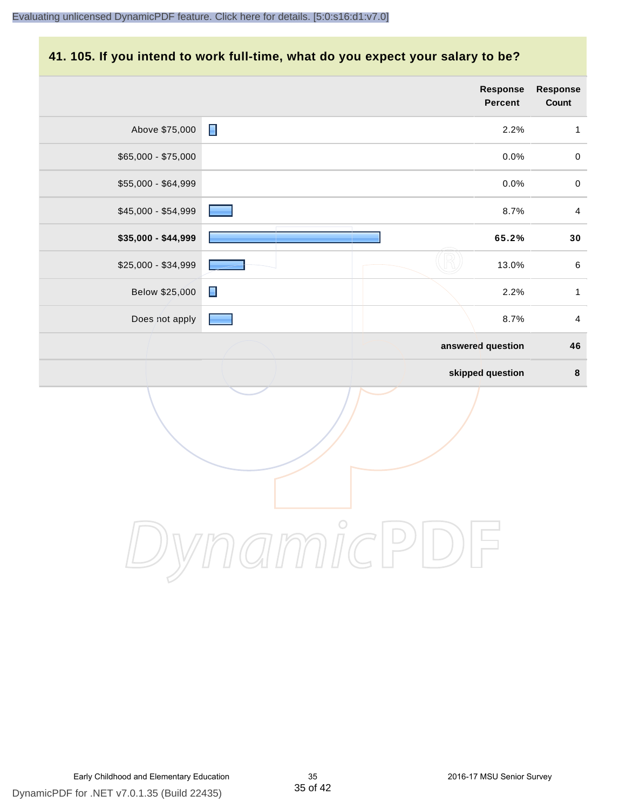#### **41. 105. If you intend to work full-time, what do you expect your salary to be?**

|                     | <b>Response</b><br><b>Percent</b> | Response<br>Count       |
|---------------------|-----------------------------------|-------------------------|
| Above \$75,000      | $\blacksquare$<br>2.2%            | $\mathbf{1}$            |
| \$65,000 - \$75,000 | 0.0%                              | $\pmb{0}$               |
| \$55,000 - \$64,999 | 0.0%                              | $\pmb{0}$               |
| \$45,000 - \$54,999 | 8.7%                              | $\overline{4}$          |
| \$35,000 - \$44,999 | 65.2%                             | $\bf{30}$               |
| \$25,000 - \$34,999 | 13.0%                             | $\,6\,$                 |
| Below \$25,000      | $\blacksquare$<br>2.2%            | $\mathbf{1}$            |
| Does not apply      | 8.7%                              | $\overline{\mathbf{4}}$ |
|                     | answered question                 | 46                      |
|                     | skipped question                  | $\pmb{8}$               |
|                     |                                   |                         |
|                     | $\bigcirc$                        |                         |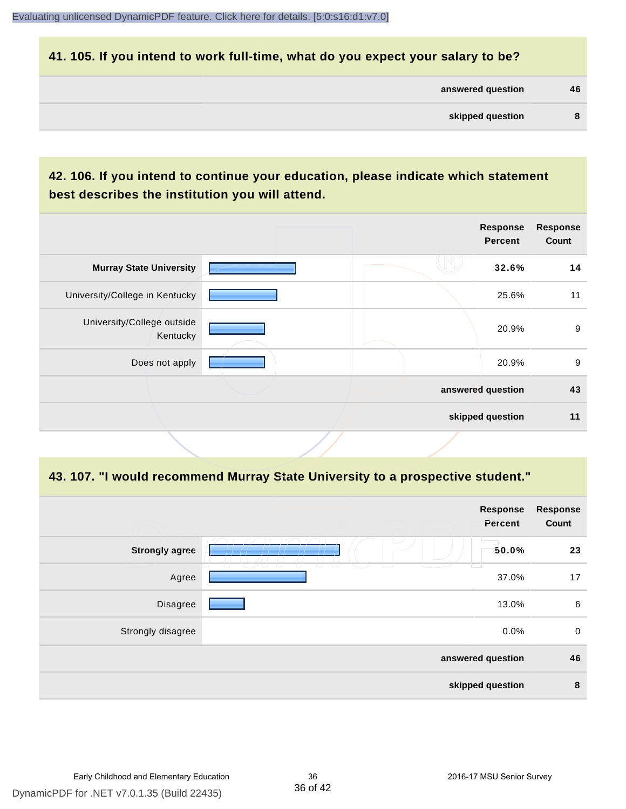#### **41. 105. If you intend to work full-time, what do you expect your salary to be?**

| answered question | 46 |
|-------------------|----|
|                   |    |

#### **42. 106. If you intend to continue your education, please indicate which statement best describes the institution you will attend.**

|                                        |  | Response<br><b>Percent</b> | <b>Response</b><br>Count |
|----------------------------------------|--|----------------------------|--------------------------|
| <b>Murray State University</b>         |  | 32.6%                      | 14                       |
| University/College in Kentucky         |  | 25.6%                      | 11                       |
| University/College outside<br>Kentucky |  | 20.9%                      | 9                        |
| Does not apply                         |  | 20.9%                      | 9                        |
|                                        |  | answered question          | 43                       |
|                                        |  | skipped question           | 11                       |
|                                        |  |                            |                          |

#### **43. 107. "I would recommend Murray State University to a prospective student."**

|                       |                                | Response<br>Percent | <b>Response</b><br>Count |
|-----------------------|--------------------------------|---------------------|--------------------------|
| <b>Strongly agree</b> |                                | 50.0%               | 23                       |
| Agree                 | $\overline{a}$<br>$\perp$<br>ப | 37.0%               | 17                       |
| Disagree              |                                | 13.0%               | 6                        |
| Strongly disagree     |                                | 0.0%                | $\mathbf 0$              |
| answered question     |                                | 46                  |                          |
|                       |                                | skipped question    | 8                        |
|                       |                                |                     |                          |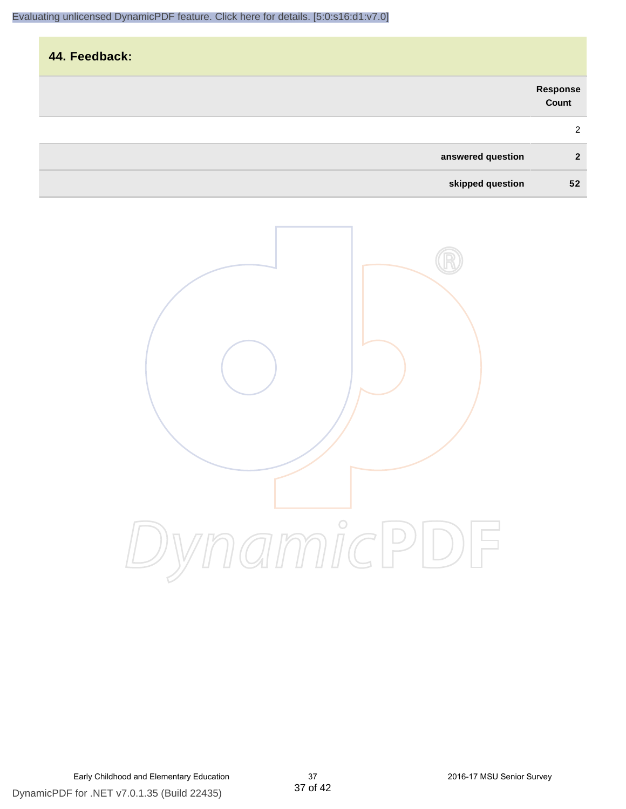|                   | Response<br>Count |
|-------------------|-------------------|
|                   | 2                 |
| answered question | $\overline{2}$    |
| skipped question  | 52                |

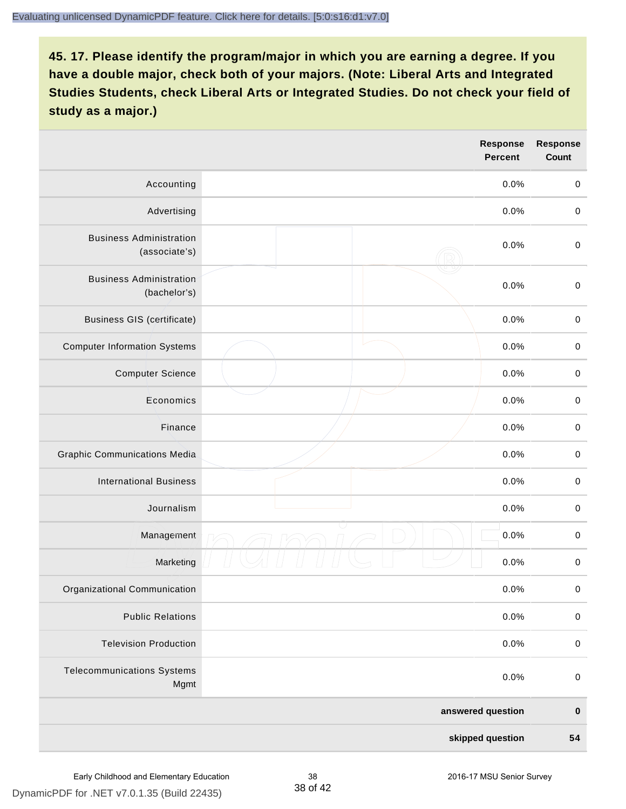|                                                 | <b>Response</b><br><b>Percent</b> | <b>Response</b><br>Count |
|-------------------------------------------------|-----------------------------------|--------------------------|
| Accounting                                      | 0.0%                              | $\mathbf 0$              |
| Advertising                                     | 0.0%                              | $\pmb{0}$                |
| <b>Business Administration</b><br>(associate's) | 0.0%                              | $\pmb{0}$                |
| <b>Business Administration</b><br>(bachelor's)  | 0.0%                              | $\pmb{0}$                |
| <b>Business GIS (certificate)</b>               | 0.0%                              | $\mathbf 0$              |
| <b>Computer Information Systems</b>             | 0.0%                              | $\pmb{0}$                |
| <b>Computer Science</b>                         | 0.0%                              | $\mathbf 0$              |
| Economics                                       | 0.0%                              | $\pmb{0}$                |
| Finance                                         | 0.0%                              | $\pmb{0}$                |
| <b>Graphic Communications Media</b>             | 0.0%                              | $\mathbf 0$              |
| <b>International Business</b>                   | 0.0%                              | $\pmb{0}$                |
| Journalism                                      | 0.0%                              | $\mathbf 0$              |
| Management                                      | 0.0%                              | $\pmb{0}$                |
| Marketing                                       | 0.0%                              | $\,0\,$                  |
| Organizational Communication                    | 0.0%                              | $\pmb{0}$                |
| <b>Public Relations</b>                         | 0.0%                              | $\mathbf 0$              |
| <b>Television Production</b>                    | 0.0%                              | $\mathsf 0$              |
| <b>Telecommunications Systems</b><br>Mgmt       | 0.0%                              | $\mathbf 0$              |
|                                                 | answered question                 | $\pmb{0}$                |
|                                                 | skipped question                  | 54                       |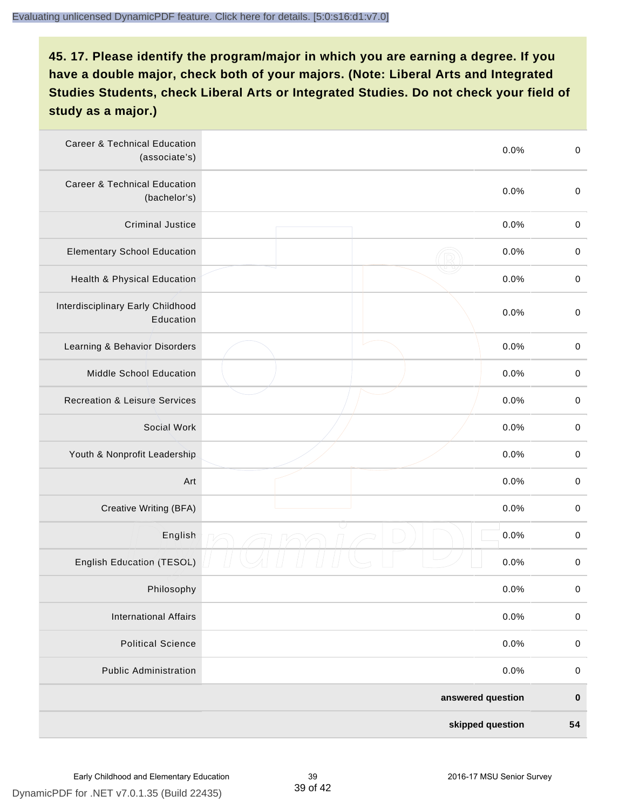| <b>Career &amp; Technical Education</b><br>(associate's) | 0.0%              | $\pmb{0}$   |
|----------------------------------------------------------|-------------------|-------------|
| <b>Career &amp; Technical Education</b><br>(bachelor's)  | 0.0%              | $\mathbf 0$ |
| <b>Criminal Justice</b>                                  | 0.0%              | $\pmb{0}$   |
| <b>Elementary School Education</b>                       | 0.0%              | $\pmb{0}$   |
| Health & Physical Education                              | 0.0%              | $\pmb{0}$   |
| Interdisciplinary Early Childhood<br>Education           | 0.0%              | $\pmb{0}$   |
| Learning & Behavior Disorders                            | 0.0%              | $\pmb{0}$   |
| Middle School Education                                  | 0.0%              | $\mathbf 0$ |
| <b>Recreation &amp; Leisure Services</b>                 | 0.0%              | $\mathbf 0$ |
| Social Work                                              | 0.0%              | $\mathbf 0$ |
| Youth & Nonprofit Leadership                             | 0.0%              | $\mathbf 0$ |
| Art                                                      | 0.0%              | $\pmb{0}$   |
| Creative Writing (BFA)                                   | 0.0%              | $\pmb{0}$   |
| English                                                  | 0.0%              | $\pmb{0}$   |
| English Education (TESOL)                                | 0.0%              | $\pmb{0}$   |
| Philosophy                                               | 0.0%              | 0           |
| <b>International Affairs</b>                             | 0.0%              | $\pmb{0}$   |
| <b>Political Science</b>                                 | 0.0%              | $\mathbf 0$ |
| <b>Public Administration</b>                             | 0.0%              | $\mathbf 0$ |
|                                                          | answered question | $\pmb{0}$   |
|                                                          | skipped question  | 54          |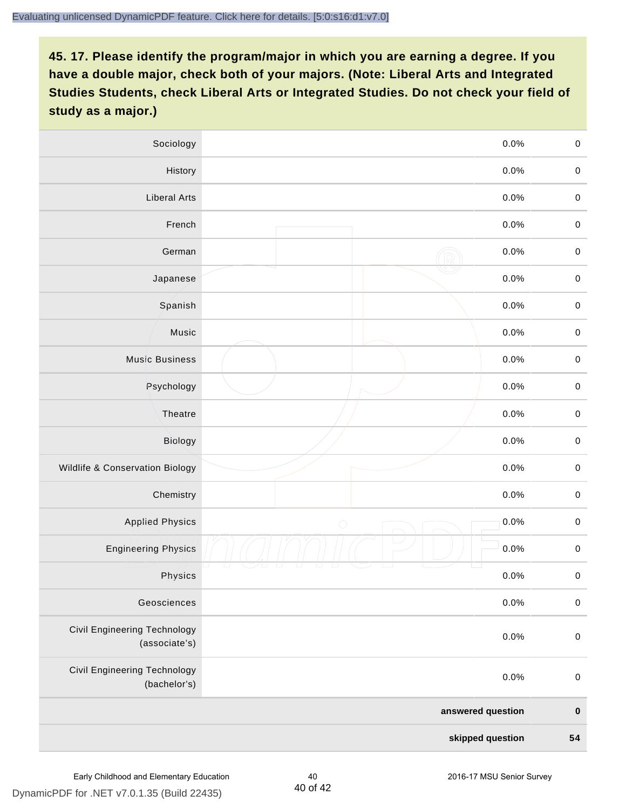| Sociology                                     |                  | 0.0%<br>$\mathbf 0$    |
|-----------------------------------------------|------------------|------------------------|
| History                                       |                  | $0.0\%$<br>$\mathbf 0$ |
| <b>Liberal Arts</b>                           |                  | 0.0%<br>$\mathbf 0$    |
| French                                        |                  | 0.0%<br>$\pmb{0}$      |
| German                                        |                  | 0.0%<br>$\mathbf 0$    |
| Japanese                                      |                  | 0.0%<br>$\mathsf 0$    |
| Spanish                                       |                  | 0.0%<br>$\mathbf 0$    |
| Music                                         |                  | 0.0%<br>$\mathbf 0$    |
| <b>Music Business</b>                         |                  | $\pmb{0}$<br>0.0%      |
| Psychology                                    |                  | 0.0%<br>$\mathbf 0$    |
| Theatre                                       |                  | 0.0%<br>$\mathbf 0$    |
| Biology                                       |                  | 0.0%<br>$\mathbf 0$    |
| Wildlife & Conservation Biology               |                  | 0.0%<br>$\mathbf 0$    |
| Chemistry                                     |                  | 0.0%<br>$\pmb{0}$      |
| <b>Applied Physics</b>                        | $\bigcirc$       | 0.0%<br>$\mathbf 0$    |
| <b>Engineering Physics</b>                    |                  | 0.0%<br>$\mathbf 0$    |
| Physics                                       |                  | 0.0%<br>$\mathbf 0$    |
| Geosciences                                   |                  | 0.0%<br>$\mathbf 0$    |
| Civil Engineering Technology<br>(associate's) |                  | 0.0%<br>$\pmb{0}$      |
| Civil Engineering Technology<br>(bachelor's)  |                  | 0.0%<br>$\pmb{0}$      |
| answered question                             |                  | $\pmb{0}$              |
|                                               | skipped question | 54                     |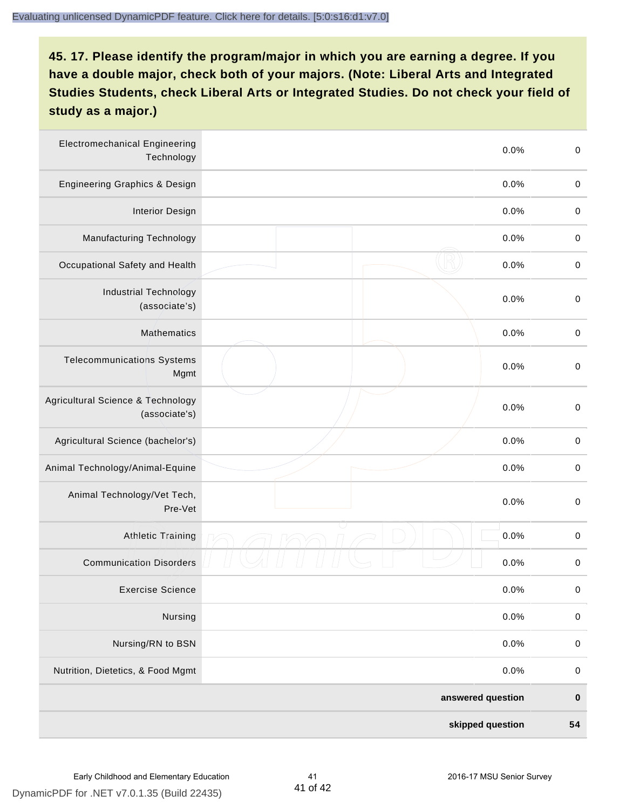| <b>Electromechanical Engineering</b><br>Technology | 0.0%              | $\mathbf 0$ |
|----------------------------------------------------|-------------------|-------------|
| <b>Engineering Graphics &amp; Design</b>           | 0.0%              | $\mathbf 0$ |
| <b>Interior Design</b>                             | 0.0%              | $\pmb{0}$   |
| Manufacturing Technology                           | 0.0%              | $\pmb{0}$   |
| Occupational Safety and Health                     | 0.0%              | $\pmb{0}$   |
| <b>Industrial Technology</b><br>(associate's)      | 0.0%              | $\pmb{0}$   |
| <b>Mathematics</b>                                 | 0.0%              | $\pmb{0}$   |
| <b>Telecommunications Systems</b><br>Mgmt          | 0.0%              | $\pmb{0}$   |
| Agricultural Science & Technology<br>(associate's) | 0.0%              | $\mathbf 0$ |
| Agricultural Science (bachelor's)                  | 0.0%              | $\mathbf 0$ |
| Animal Technology/Animal-Equine                    | 0.0%              | $\pmb{0}$   |
| Animal Technology/Vet Tech,<br>Pre-Vet             | 0.0%              | $\pmb{0}$   |
| <b>Athletic Training</b>                           | 0.0%              | $\pmb{0}$   |
| <b>Communication Disorders</b>                     | 0.0%              | $\pmb{0}$   |
| <b>Exercise Science</b>                            | 0.0%              | $\pmb{0}$   |
| Nursing                                            | 0.0%              | $\mathbf 0$ |
| Nursing/RN to BSN                                  | 0.0%              | $\pmb{0}$   |
| Nutrition, Dietetics, & Food Mgmt                  | 0.0%              | $\,0\,$     |
|                                                    | answered question | $\pmb{0}$   |
|                                                    | skipped question  | 54          |